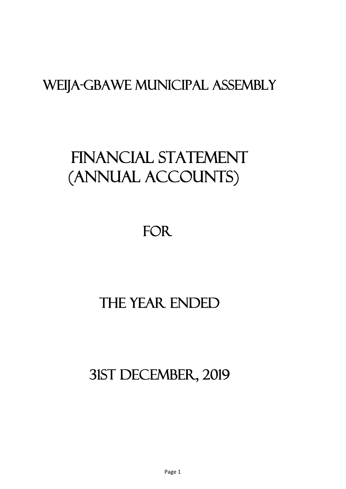# FINANCIAL STATEMENT (ANNUAL ACCOUNTS)

FOR

# THE YEAR ENDED

31st december, 2019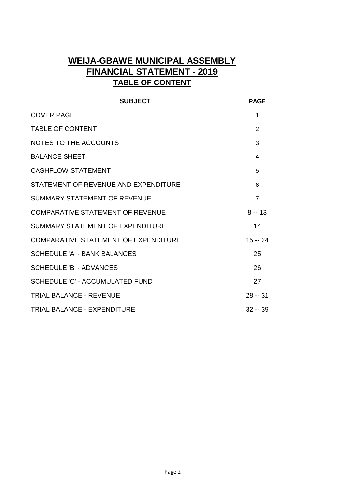# **WEIJA-GBAWE MUNICIPAL ASSEMBLY FINANCIAL STATEMENT - 2019 TABLE OF CONTENT**

| <b>SUBJECT</b>                              | <b>PAGE</b>    |
|---------------------------------------------|----------------|
| <b>COVER PAGE</b>                           | 1              |
| <b>TABLE OF CONTENT</b>                     | 2              |
| NOTES TO THE ACCOUNTS                       | 3              |
| <b>BALANCE SHEET</b>                        | 4              |
| <b>CASHFLOW STATEMENT</b>                   | 5              |
| STATEMENT OF REVENUE AND EXPENDITURE        | 6              |
| <b>SUMMARY STATEMENT OF REVENUE</b>         | $\overline{7}$ |
| <b>COMPARATIVE STATEMENT OF REVENUE</b>     | $8 - 13$       |
| SUMMARY STATEMENT OF EXPENDITURE            | 14             |
| <b>COMPARATIVE STATEMENT OF EXPENDITURE</b> | $15 - 24$      |
| <b>SCHEDULE 'A' - BANK BALANCES</b>         | 25             |
| <b>SCHEDULE 'B' - ADVANCES</b>              | 26             |
| <b>SCHEDULE 'C' - ACCUMULATED FUND</b>      | 27             |
| <b>TRIAL BALANCE - REVENUE</b>              | $28 - 31$      |
| TRIAL BALANCE - EXPENDITURE                 | $32 - 39$      |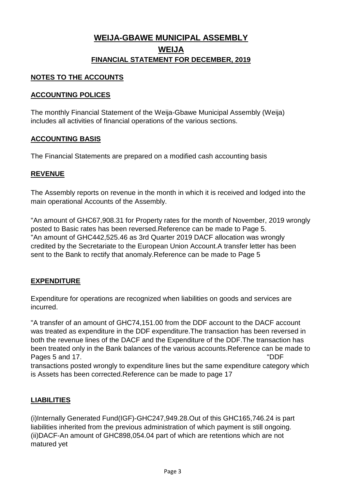### **WEIJA-GBAWE MUNICIPAL ASSEMBLY WEIJA FINANCIAL STATEMENT FOR DECEMBER, 2019**

#### **NOTES TO THE ACCOUNTS**

#### **ACCOUNTING POLICES**

The monthly Financial Statement of the Weija-Gbawe Municipal Assembly (Weija) includes all activities of financial operations of the various sections.

#### **ACCOUNTING BASIS**

The Financial Statements are prepared on a modified cash accounting basis

#### **REVENUE**

The Assembly reports on revenue in the month in which it is received and lodged into the main operational Accounts of the Assembly.

"An amount of GHC67,908.31 for Property rates for the month of November, 2019 wrongly posted to Basic rates has been reversed.Reference can be made to Page 5. "An amount of GHC442,525.46 as 3rd Quarter 2019 DACF allocation was wrongly credited by the Secretariate to the European Union Account.A transfer letter has been sent to the Bank to rectify that anomaly.Reference can be made to Page 5

#### **EXPENDITURE**

Expenditure for operations are recognized when liabilities on goods and services are incurred.

"A transfer of an amount of GHC74,151.00 from the DDF account to the DACF account was treated as expenditure in the DDF expenditure.The transaction has been reversed in both the revenue lines of the DACF and the Expenditure of the DDF.The transaction has been treated only in the Bank balances of the various accounts.Reference can be made to Pages 5 and 17. "DDF

transactions posted wrongly to expenditure lines but the same expenditure category which is Assets has been corrected.Reference can be made to page 17

#### **LIABILITIES**

(i)Internally Generated Fund(IGF)-GHC247,949.28.Out of this GHC165,746.24 is part liabilities inherited from the previous administration of which payment is still ongoing. (ii)DACF-An amount of GHC898,054.04 part of which are retentions which are not matured yet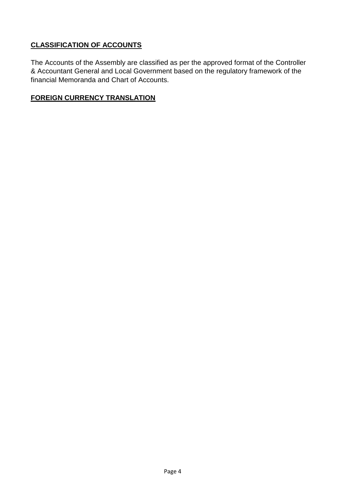#### **CLASSIFICATION OF ACCOUNTS**

The Accounts of the Assembly are classified as per the approved format of the Controller & Accountant General and Local Government based on the regulatory framework of the financial Memoranda and Chart of Accounts.

#### **FOREIGN CURRENCY TRANSLATION**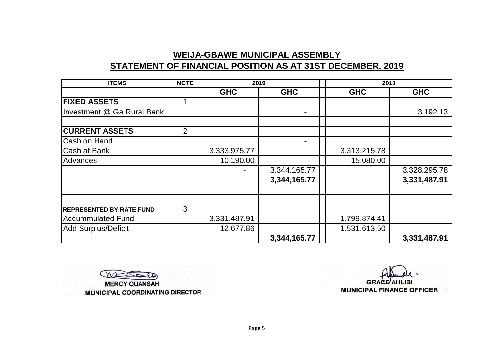### **WEIJA-GBAWE MUNICIPAL ASSEMBLY STATEMENT OF FINANCIAL POSITION AS AT 31ST DECEMBER, 2019**

| <b>ITEMS</b>                    | <b>NOTE</b>    | 2019         |              | 2018         |              |
|---------------------------------|----------------|--------------|--------------|--------------|--------------|
|                                 |                | <b>GHC</b>   | <b>GHC</b>   | <b>GHC</b>   | <b>GHC</b>   |
| <b>FIXED ASSETS</b>             | 1              |              |              |              |              |
| Investment @ Ga Rural Bank      |                |              |              |              | 3,192.13     |
| <b>CURRENT ASSETS</b>           | $\overline{2}$ |              |              |              |              |
|                                 |                |              |              |              |              |
| Cash on Hand                    |                |              |              |              |              |
| Cash at Bank                    |                | 3,333,975.77 |              | 3,313,215.78 |              |
| Advances                        |                | 10,190.00    |              | 15,080.00    |              |
|                                 |                |              | 3,344,165.77 |              | 3,328,295.78 |
|                                 |                |              | 3,344,165.77 |              | 3,331,487.91 |
|                                 |                |              |              |              |              |
| <b>REPRESENTED BY RATE FUND</b> | 3              |              |              |              |              |
| Accummulated Fund               |                | 3,331,487.91 |              | 1,799,874.41 |              |
| <b>Add Surplus/Deficit</b>      |                | 12,677.86    |              | 1,531,613.50 |              |
|                                 |                |              | 3,344,165.77 |              | 3,331,487.91 |

 $M$ **MERCY QUANSAH MUNICIPAL COORDINATING DIRECTOR**

**MUNICIPAL FINANCE OFFICER GRACE AHLIBI**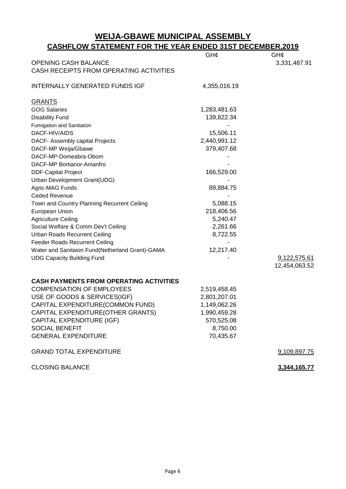#### **WEIJA-GBAWE MUNICIPAL ASSEMBLY CASHFLOW STATEMENT FOR THE YEAR ENDED 31ST DECEMBER,2019**

| <b>OPENING CASH BALANCE</b>                     | GH¢          | GH¢<br>3,331,487.91 |
|-------------------------------------------------|--------------|---------------------|
| CASH RECEIPTS FROM OPERATING ACTIVITIES         |              |                     |
|                                                 |              |                     |
| <b>INTERNALLY GENERATED FUNDS IGF</b>           | 4,355,016.19 |                     |
|                                                 |              |                     |
| <b>GRANTS</b>                                   |              |                     |
| <b>GOG Salaries</b>                             | 1,283,481.63 |                     |
| <b>Disability Fund</b>                          | 139,822.34   |                     |
| Fumigation and Sanitation                       |              |                     |
| DACF-HIV/AIDS                                   | 15,506.11    |                     |
| DACF- Assembly capital Projects                 | 2,440,991.12 |                     |
| DACF-MP Weija/Gbawe                             | 379,407.68   |                     |
| DACF-MP-Domeabra-Obom                           |              |                     |
| DACF-MP Bortianor-Amanfro                       |              |                     |
| <b>DDF-Capital Project</b>                      | 166,529.00   |                     |
| Urban Development Grant(UDG)                    |              |                     |
| Agric-MAG Funds                                 | 89,884.75    |                     |
| <b>Ceded Revenue</b>                            |              |                     |
| Town and Country Planning Recurrent Ceiling     | 5,088.15     |                     |
| European Union                                  | 218,406.56   |                     |
| <b>Agriculture Ceiling</b>                      | 5,240.47     |                     |
| Social Welfare & Comm Dev't Ceiling             | 2,261.66     |                     |
| <b>Urban Roads Recurrent Ceiling</b>            | 8,722.55     |                     |
| <b>Feeder Roads Recurrent Ceiling</b>           |              |                     |
| Water and Sanitaion Fund(Netherland Grant)-GAMA | 12,217.40    |                     |
| <b>UDG Capacity Building Fund</b>               |              | 9,122,575.61        |
|                                                 |              | 12,454,063.52       |
|                                                 |              |                     |
| <b>CASH PAYMENTS FROM OPERATING ACTIVITIES</b>  |              |                     |
| <b>COMPENSATION OF EMPLOYEES</b>                | 2,519,458.45 |                     |
| USE OF GOODS & SERVICES(IGF)                    | 2,801,207.01 |                     |
| CAPITAL EXPENDITURE(COMMON FUND)                | 1,149,062.26 |                     |
| CAPITAL EXPENDITURE(OTHER GRANTS)               | 1,990,459.28 |                     |
| CAPITAL EXPENDITURE (IGF)                       | 570,525.08   |                     |
| <b>SOCIAL BENEFIT</b>                           | 8,750.00     |                     |
| <b>GENERAL EXPENDITURE</b>                      | 70,435.67    |                     |
| <b>GRAND TOTAL EXPENDITURE</b>                  |              | 9,109,897.75        |
|                                                 |              |                     |
| <b>CLOSING BALANCE</b>                          |              | 3,344,165.77        |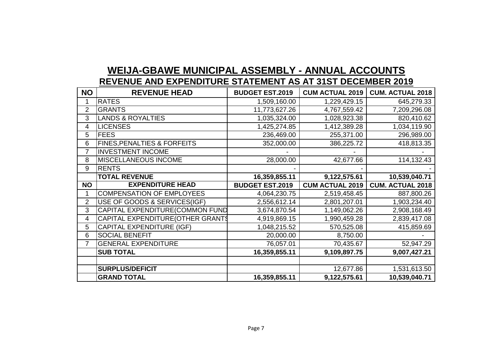# **WEIJA-GBAWE MUNICIPAL ASSEMBLY - ANNUAL ACCOUNTS REVENUE AND EXPENDITURE STATEMENT AS AT 31ST DECEMBER 2019**

| <b>NO</b>      | <b>REVENUE HEAD</b>                    | <b>BUDGET EST.2019</b> | <b>CUM ACTUAL 2019</b> | <b>CUM. ACTUAL 2018</b> |
|----------------|----------------------------------------|------------------------|------------------------|-------------------------|
|                | <b>RATES</b>                           | 1,509,160.00           | 1,229,429.15           | 645,279.33              |
| $\overline{2}$ | <b>GRANTS</b>                          | 11,773,627.26          | 4,767,559.42           | 7,209,296.08            |
| 3              | <b>LANDS &amp; ROYALTIES</b>           | 1,035,324.00           | 1,028,923.38           | 820,410.62              |
| 4              | <b>LICENSES</b>                        | 1,425,274.85           | 1,412,389.28           | 1,034,119.90            |
| 5              | <b>FEES</b>                            | 236,469.00             | 255,371.00             | 296,989.00              |
| 6              | <b>FINES, PENALTIES &amp; FORFEITS</b> | 352,000.00             | 386,225.72             | 418,813.35              |
| $\overline{7}$ | <b>INVESTMENT INCOME</b>               |                        |                        |                         |
| 8              | MISCELLANEOUS INCOME                   | 28,000.00              | 42,677.66              | 114,132.43              |
| 9              | <b>RENTS</b>                           |                        |                        |                         |
|                | <b>TOTAL REVENUE</b>                   | 16,359,855.11          | 9,122,575.61           | 10,539,040.71           |
| <b>NO</b>      | <b>EXPENDITURE HEAD</b>                | <b>BUDGET EST.2019</b> | <b>CUM ACTUAL 2019</b> | <b>CUM. ACTUAL 2018</b> |
|                | <b>COMPENSATION OF EMPLOYEES</b>       | 4,064,230.75           | 2,519,458.45           | 887,800.26              |
| $\overline{2}$ | USE OF GOODS & SERVICES(IGF)           | 2,556,612.14           | 2,801,207.01           | 1,903,234.40            |
| 3              | CAPITAL EXPENDITURE(COMMON FUND        | 3,674,870.54           | 1,149,062.26           | 2,908,168.49            |
| 4              | CAPITAL EXPENDITURE (OTHER GRANTS      | 4,919,869.15           | 1,990,459.28           | 2,839,417.08            |
| 5              | <b>CAPITAL EXPENDITURE (IGF)</b>       | 1,048,215.52           | 570,525.08             | 415,859.69              |
| 6              | <b>SOCIAL BENEFIT</b>                  | 20,000.00              | 8,750.00               |                         |
| 7              | <b>GENERAL EXPENDITURE</b>             | 76,057.01              | 70,435.67              | 52,947.29               |
|                | <b>SUB TOTAL</b>                       | 16,359,855.11          | 9,109,897.75           | 9,007,427.21            |
|                |                                        |                        |                        |                         |
|                | <b>SURPLUS/DEFICIT</b>                 |                        | 12,677.86              | 1,531,613.50            |
|                | <b>GRAND TOTAL</b>                     | 16,359,855.11          | 9,122,575.61           | 10,539,040.71           |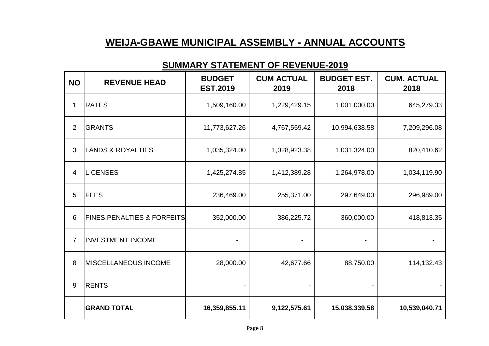# **WEIJA-GBAWE MUNICIPAL ASSEMBLY - ANNUAL ACCOUNTS**

| <b>NO</b>      | <b>REVENUE HEAD</b>                    | <b>BUDGET</b><br><b>EST.2019</b> | <b>CUM ACTUAL</b><br>2019 | <b>BUDGET EST.</b><br>2018 | <b>CUM. ACTUAL</b><br>2018 |
|----------------|----------------------------------------|----------------------------------|---------------------------|----------------------------|----------------------------|
| 1              | <b>RATES</b>                           | 1,509,160.00                     | 1,229,429.15              | 1,001,000.00               | 645,279.33                 |
| $\overline{2}$ | <b>GRANTS</b>                          | 11,773,627.26                    | 4,767,559.42              | 10,994,638.58              | 7,209,296.08               |
| 3              | <b>LANDS &amp; ROYALTIES</b>           | 1,035,324.00                     | 1,028,923.38              | 1,031,324.00               | 820,410.62                 |
| 4              | <b>LICENSES</b>                        | 1,425,274.85                     | 1,412,389.28              | 1,264,978.00               | 1,034,119.90               |
| 5              | <b>FEES</b>                            | 236,469.00                       | 255,371.00                | 297,649.00                 | 296,989.00                 |
| 6              | <b>FINES, PENALTIES &amp; FORFEITS</b> | 352,000.00                       | 386,225.72                | 360,000.00                 | 418,813.35                 |
| $\overline{7}$ | <b>INVESTMENT INCOME</b>               |                                  |                           |                            |                            |
| 8              | <b>MISCELLANEOUS INCOME</b>            | 28,000.00                        | 42,677.66                 | 88,750.00                  | 114,132.43                 |
| 9              | <b>RENTS</b>                           |                                  |                           |                            |                            |
|                | <b>GRAND TOTAL</b>                     | 16,359,855.11                    | 9,122,575.61              | 15,038,339.58              | 10,539,040.71              |

### **SUMMARY STATEMENT OF REVENUE-2019**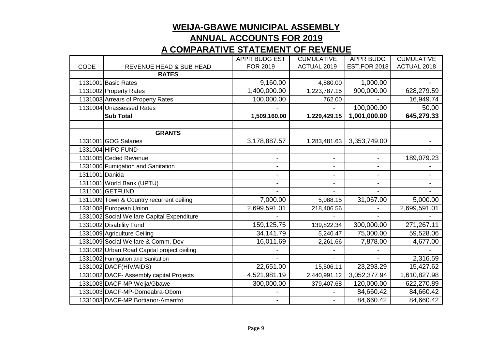# **ANNUAL ACCOUNTS FOR 2019**

# **A COMPARATIVE STATEMENT OF REVENUE**

|                |                                            | APPR BUDG EST | <b>CUMULATIVE</b> | <b>APPR BUDG</b>    | <b>CUMULATIVE</b> |
|----------------|--------------------------------------------|---------------|-------------------|---------------------|-------------------|
| CODE           | REVENUE HEAD & SUB HEAD                    | FOR 2019      | ACTUAL 2019       | <b>EST.FOR 2018</b> | ACTUAL 2018       |
|                | <b>RATES</b>                               |               |                   |                     |                   |
|                | 1131001 Basic Rates                        | 9,160.00      | 4,880.00          | 1,000.00            |                   |
|                | 1131002 Property Rates                     | 1,400,000.00  | 1,223,787.15      | 900,000.00          | 628,279.59        |
|                | 1131003 Arrears of Property Rates          | 100,000.00    | 762.00            |                     | 16,949.74         |
|                | 1131004 Unassessed Rates                   |               |                   | 100,000.00          | 50.00             |
|                | <b>Sub Total</b>                           | 1,509,160.00  | 1,229,429.15      | 1,001,000.00        | 645,279.33        |
|                |                                            |               |                   |                     |                   |
|                | <b>GRANTS</b>                              |               |                   |                     |                   |
|                | 1331001 GOG Salaries                       | 3,178,887.57  | 1,283,481.63      | 3,353,749.00        |                   |
|                | 1331004 HIPC FUND                          |               |                   |                     |                   |
|                | 1331005 Ceded Revenue                      |               |                   | $\blacksquare$      | 189,079.23        |
|                | 1331006 Fumigation and Sanitation          |               | $\blacksquare$    | ٠                   |                   |
| 1311001 Danida |                                            | ٠             | ÷                 | $\blacksquare$      |                   |
|                | 1311001 World Bank (UPTU)                  | ٠             | $\blacksquare$    | $\blacksquare$      | ۰.                |
|                | 1311001 GETFUND                            |               |                   |                     |                   |
|                | 1311009 Town & Country recurrent ceiling   | 7,000.00      | 5,088.15          | 31,067.00           | 5,000.00          |
|                | 1331008 European Union                     | 2,699,591.01  | 218,406.56        |                     | 2,699,591.01      |
|                | 1331002 Social Welfare Capital Expenditure |               |                   |                     |                   |
|                | 1331002 Disability Fund                    | 159,125.75    | 139,822.34        | 300,000.00          | 271,267.11        |
|                | 1331009 Agriculture Ceiling                | 34,141.79     | 5,240.47          | 75,000.00           | 59,528.06         |
|                | 1331009 Social Welfare & Comm. Dev         | 16,011.69     | 2,261.66          | 7,878.00            | 4,677.00          |
|                | 1331002 Urban Road Capital project ceiling |               |                   |                     |                   |
|                | 1331002 Fumigation and Sanitation          |               |                   |                     | 2,316.59          |
|                | 1331002 DACF(HIV/AIDS)                     | 22,651.00     | 15,506.11         | 23,293.29           | 15,427.62         |
|                | 1331002 DACF- Assembly capital Projects    | 4,521,981.19  | 2,440,991.12      | 3,052,377.94        | 1,610,827.98      |
|                | 1331003 DACF-MP Weija/Gbawe                | 300,000.00    | 379,407.68        | 120,000.00          | 622,270.89        |
|                | 1331003 DACF-MP-Domeabra-Obom              |               |                   | 84,660.42           | 84,660.42         |
|                | 1331003 DACF-MP Bortianor-Amanfro          |               |                   | 84,660.42           | 84,660.42         |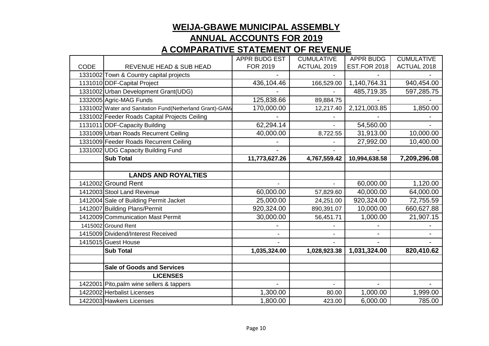|             |                                                         | APPR BUDG EST | <b>CUMULATIVE</b> | <b>APPR BUDG</b>    | <b>CUMULATIVE</b> |
|-------------|---------------------------------------------------------|---------------|-------------------|---------------------|-------------------|
| <b>CODE</b> | REVENUE HEAD & SUB HEAD                                 | FOR 2019      | ACTUAL 2019       | <b>EST.FOR 2018</b> | ACTUAL 2018       |
|             | 1331002 Town & Country capital projects                 |               |                   |                     |                   |
|             | 1131010 DDF-Capital Project                             | 436,104.46    | 166,529.00        | 1,140,764.31        | 940,454.00        |
|             | 1331002 Urban Development Grant(UDG)                    |               |                   | 485,719.35          | 597,285.75        |
|             | 1332005 Agric-MAG Funds                                 | 125,838.66    | 89,884.75         |                     |                   |
|             | 1331002 Water and Sanitation Fund(Netherland Grant)-GAM | 170,000.00    | 12,217.40         | 2,121,003.85        | 1,850.00          |
|             | 1331002 Feeder Roads Capital Projects Ceiling           |               |                   |                     |                   |
|             | 1131011 DDF-Capacity Building                           | 62,294.14     |                   | 54,560.00           |                   |
|             | 1331009 Urban Roads Recurrent Ceiling                   | 40,000.00     | 8,722.55          | 31,913.00           | 10,000.00         |
|             | 1331009 Feeder Roads Recurrent Ceiling                  |               |                   | 27,992.00           | 10,400.00         |
|             | 1331002 UDG Capacity Building Fund                      |               |                   |                     |                   |
|             | <b>Sub Total</b>                                        | 11,773,627.26 | 4,767,559.42      | 10,994,638.58       | 7,209,296.08      |
|             |                                                         |               |                   |                     |                   |
|             | <b>LANDS AND ROYALTIES</b>                              |               |                   |                     |                   |
|             | 1412002 Ground Rent                                     |               |                   | 60,000.00           | 1,120.00          |
|             | 1412003 Stool Land Revenue                              | 60,000.00     | 57,829.60         | 40,000.00           | 64,000.00         |
|             | 1412004 Sale of Building Permit Jacket                  | 25,000.00     | 24,251.00         | 920,324.00          | 72,755.59         |
|             | 1412007 Building Plans/Permit                           | 920,324.00    | 890,391.07        | 10,000.00           | 660,627.88        |
|             | 1412009 Communication Mast Permit                       | 30,000.00     | 56,451.71         | 1,000.00            | 21,907.15         |
|             | 1415002 Ground Rent                                     |               |                   |                     |                   |
|             | 1415009 Dividend/Interest Received                      |               |                   |                     |                   |
|             | 1415015 Guest House                                     |               |                   |                     |                   |
|             | <b>Sub Total</b>                                        | 1,035,324.00  | 1,028,923.38      | 1,031,324.00        | 820,410.62        |
|             |                                                         |               |                   |                     |                   |
|             | <b>Sale of Goods and Services</b>                       |               |                   |                     |                   |
|             | <b>LICENSES</b>                                         |               |                   |                     |                   |
|             | 1422001 Pito, palm wine sellers & tappers               |               |                   |                     |                   |
|             | 1422002 Herbalist Licenses                              | 1,300.00      | 80.00             | 1,000.00            | 1,999.00          |
|             | 1422003 Hawkers Licenses                                | 1,800.00      | 423.00            | 6,000.00            | 785.00            |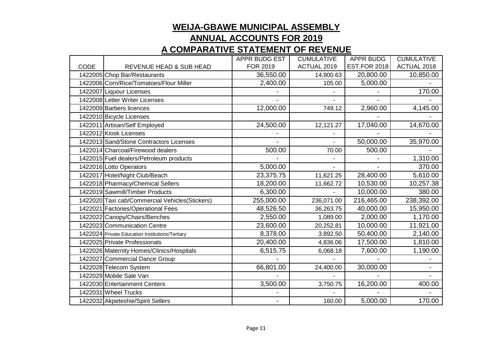|             |                                                 | APPR BUDG EST | <b>CUMULATIVE</b> | <b>APPR BUDG</b>    | <b>CUMULATIVE</b> |
|-------------|-------------------------------------------------|---------------|-------------------|---------------------|-------------------|
| <b>CODE</b> | REVENUE HEAD & SUB HEAD                         | FOR 2019      | ACTUAL 2019       | <b>EST.FOR 2018</b> | ACTUAL 2018       |
|             | 1422005 Chop Bar/Restaurants                    | 36,550.00     | 14,900.63         | 20,800.00           | 10,850.00         |
|             | 1422006 Corn/Rice/Tomatoes/Flour Miller         | 2,400.00      | 105.00            | 5,000.00            |                   |
|             | 1422007 Liquour Licenses                        |               |                   |                     | 170.00            |
|             | 1422008 Letter Writer Licenses                  |               |                   |                     |                   |
|             | 1422009 Barbers licences                        | 12,000.00     | 749.12            | 2,960.00            | 4,145.00          |
|             | 1422010 Bicycle Licenses                        |               |                   |                     |                   |
|             | 1422011 Artisan/Self Employed                   | 24,500.00     | 12,121.27         | 17,040.00           | 14,670.00         |
|             | 1422012 Kiosk Licenses                          |               |                   |                     |                   |
|             | 1422013 Sand/Stone Contractors Licenses         |               |                   | 50,000.00           | 35,970.00         |
|             | 1422014 Charcoal/Firewood dealers               | 500.00        | 70.00             | 500.00              |                   |
|             | 1422015 Fuel dealers/Petroleum products         |               |                   |                     | 1,310.00          |
|             | 1422016 Lotto Operators                         | 5,000.00      |                   |                     | 370.00            |
|             | 1422017 Hotel/Night Club/Beach                  | 23,375.75     | 11,621.25         | 28,400.00           | 5,610.00          |
|             | 1422018 Pharmacy/Chemical Sellers               | 18,200.00     | 11,662.72         | 10,530.00           | 10,257.38         |
|             | 1422019 Sawmill/Timber Products                 | 6,300.00      |                   | 10,000.00           | 380.00            |
|             | 1422020 Taxi cab/Commercial Vehicles(Stickers)  | 255,000.00    | 236,071.00        | 216,465.00          | 238,392.00        |
|             | 1422021 Factories/Operational Fees              | 48,526.50     | 36,263.75         | 40,000.00           | 15,950.00         |
|             | 1422022 Canopy/Chairs/Benches                   | 2,550.00      | 1,089.00          | 2,000.00            | 1,170.00          |
|             | 1422023 Communication Centre                    | 23,600.00     | 20,252.81         | 10,000.00           | 11,921.00         |
|             | 1422024 Private Education Institutions/Tertiary | 8,378.00      | 3,892.50          | 50,400.00           | 2,140.00          |
|             | 1422025 Private Professionals                   | 20,400.00     | 4,836.06          | 17,500.00           | 1,810.00          |
|             | 1422026 Maternity Homes/Clinics/Hospitals       | 6,515.75      | 6,068.18          | 7,600.00            | 1,190.00          |
|             | 1422027 Commercial Dance Group                  |               |                   |                     |                   |
|             | 1422028 Telecom System                          | 66,801.00     | 24,400.00         | 30,000.00           | ٠.                |
|             | 1422029 Mobile Sale Van                         |               |                   |                     |                   |
|             | 1422030 Entertainment Centers                   | 3,500.00      | 3,750.75          | 16,200.00           | 400.00            |
|             | 1422031 Wheel Trucks                            |               |                   |                     |                   |
|             | 1422032 Akpeteshie/Spirit Sellers               | ٠             | 160.00            | 5,000.00            | 170.00            |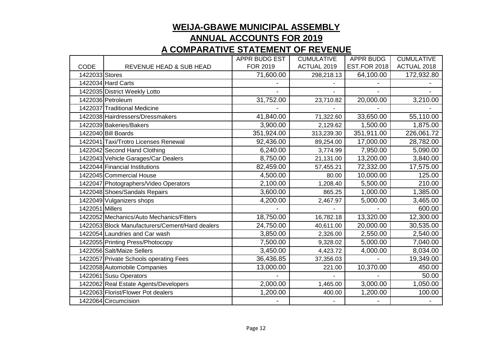|                 |                                                 | APPR BUDG EST | <b>CUMULATIVE</b> | <b>APPR BUDG</b>    | <b>CUMULATIVE</b> |
|-----------------|-------------------------------------------------|---------------|-------------------|---------------------|-------------------|
| <b>CODE</b>     | <b>REVENUE HEAD &amp; SUB HEAD</b>              | FOR 2019      | ACTUAL 2019       | <b>EST.FOR 2018</b> | ACTUAL 2018       |
| 1422033 Stores  |                                                 | 71,600.00     | 298,218.13        | 64,100.00           | 172,932.80        |
|                 | 1422034 Hard Carts                              |               |                   |                     |                   |
|                 | 1422035 District Weekly Lotto                   |               |                   |                     |                   |
|                 | 1422036 Petroleum                               | 31,752.00     | 23,710.82         | 20,000.00           | 3,210.00          |
|                 | 1422037 Traditional Medicine                    |               |                   |                     |                   |
|                 | 1422038 Hairdressers/Dressmakers                | 41,840.00     | 71,322.60         | 33,650.00           | 55,110.00         |
|                 | 1422039 Bakeries/Bakers                         | 3,900.00      | 2,129.62          | 1,500.00            | 1,875.00          |
|                 | 1422040 Bill Boards                             | 351,924.00    | 313,239.30        | 351,911.00          | 226,061.72        |
|                 | 1422041 Taxi/Trotro Licenses Renewal            | 92,436.00     | 89,254.00         | 17,000.00           | 28,782.00         |
|                 | 1422042 Second Hand Clothing                    | 6,240.00      | 3,774.99          | 7,950.00            | 5,090.00          |
|                 | 1422043 Vehicle Garages/Car Dealers             | 8,750.00      | 21,131.00         | 13,200.00           | 3,840.00          |
|                 | 1422044 Financial Institutions                  | 82,459.00     | 57,455.21         | 72,332.00           | 17,575.00         |
|                 | 1422045 Commercial House                        | 4,500.00      | 80.00             | 10,000.00           | 125.00            |
|                 | 1422047 Photographers/Video Operators           | 2,100.00      | 1,208.40          | 5,500.00            | 210.00            |
|                 | 1422048 Shoes/Sandals Repairs                   | 3,600.00      | 865.25            | 1,000.00            | 1,385.00          |
|                 | 1422049 Vulganizers shops                       | 4,200.00      | 2,467.97          | 5,000.00            | 3,465.00          |
| 1422051 Millers |                                                 |               |                   |                     | 600.00            |
|                 | 1422052 Mechanics/Auto Mechanics/Fitters        | 18,750.00     | 16,782.18         | 13,320.00           | 12,300.00         |
|                 | 1422053 Block Manufacturers/Cement/Hard dealers | 24,750.00     | 40,611.00         | 20,000.00           | 30,535.00         |
|                 | 1422054 Laundries and Car wash                  | 3,850.00      | 2,326.00          | 2,550.00            | 2,540.00          |
|                 | 1422055 Printing Press/Photocopy                | 7,500.00      | 9,328.02          | 5,000.00            | 7,040.00          |
|                 | 1422056 Salt/Maize Sellers                      | 3,450.00      | 4,423.72          | 4,000.00            | 8,034.00          |
|                 | 1422057 Private Schools operating Fees          | 36,436.85     | 37,356.03         |                     | 19,349.00         |
|                 | 1422058 Automobile Companies                    | 13,000.00     | 221.00            | 10,370.00           | 450.00            |
|                 | 1422061 Susu Operators                          |               |                   |                     | 50.00             |
|                 | 1422062 Real Estate Agents/Developers           | 2,000.00      | 1,465.00          | 3,000.00            | 1,050.00          |
|                 | 1422063 Florist/Flower Pot dealers              | 1,200.00      | 400.00            | 1,200.00            | 100.00            |
|                 | 1422064 Circumcision                            |               |                   |                     |                   |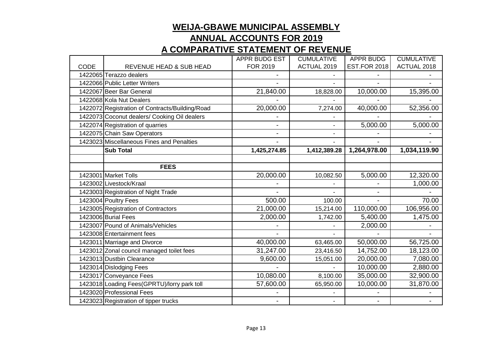|             |                                                 | <b>APPR BUDG EST</b> | <b>CUMULATIVE</b> | <b>APPR BUDG</b>    | <b>CUMULATIVE</b>  |
|-------------|-------------------------------------------------|----------------------|-------------------|---------------------|--------------------|
| <b>CODE</b> | <b>REVENUE HEAD &amp; SUB HEAD</b>              | FOR 2019             | ACTUAL 2019       | <b>EST.FOR 2018</b> | <b>ACTUAL 2018</b> |
|             | 1422065 Terazzo dealers                         |                      |                   |                     |                    |
|             | 1422066 Public Letter Writers                   |                      |                   |                     |                    |
|             | 1422067 Beer Bar General                        | 21,840.00            | 18,828.00         | 10,000.00           | 15,395.00          |
|             | 1422068 Kola Nut Dealers                        |                      |                   |                     |                    |
|             | 1422072 Registration of Contracts/Building/Road | 20,000.00            | 7,274.00          | 40,000.00           | 52,356.00          |
|             | 1422073 Coconut dealers/ Cooking Oil dealers    |                      |                   |                     |                    |
|             | 1422074 Registration of quarries                |                      |                   | 5,000.00            | 5,000.00           |
|             | 1422075 Chain Saw Operators                     |                      |                   |                     |                    |
|             | 1423023 Miscellaneous Fines and Penalties       |                      |                   |                     |                    |
|             | <b>Sub Total</b>                                | 1,425,274.85         | 1,412,389.28      | 1,264,978.00        | 1,034,119.90       |
|             |                                                 |                      |                   |                     |                    |
|             | <b>FEES</b>                                     |                      |                   |                     |                    |
|             | 1423001 Market Tolls                            | 20,000.00            | 10,082.50         | 5,000.00            | 12,320.00          |
|             | 1423002 Livestock/Kraal                         |                      |                   |                     | 1,000.00           |
|             | 1423003 Registration of Night Trade             |                      |                   |                     |                    |
|             | 1423004 Poultry Fees                            | 500.00               | 100.00            |                     | 70.00              |
|             | 1423005 Registration of Contractors             | 21,000.00            | 15,214.00         | 110,000.00          | 106,956.00         |
|             | 1423006 Burial Fees                             | 2,000.00             | 1,742.00          | 5,400.00            | 1,475.00           |
|             | 1423007 Pound of Animals/Vehicles               |                      |                   | 2,000.00            |                    |
|             | 1423008 Entertainment fees                      |                      |                   |                     |                    |
|             | 1423011 Marriage and Divorce                    | 40,000.00            | 63,465.00         | 50,000.00           | 56,725.00          |
|             | 1423012 Zonal council managed toilet fees       | 31,247.00            | 23,416.50         | 14,752.00           | 18,123.00          |
|             | 1423013 Dustbin Clearance                       | 9,600.00             | 15,051.00         | 20,000.00           | 7,080.00           |
|             | 1423014 Dislodging Fees                         |                      |                   | 10,000.00           | 2,880.00           |
|             | 1423017 Conveyance Fees                         | 10,080.00            | 8,100.00          | 35,000.00           | 32,900.00          |
|             | 1423018 Loading Fees(GPRTU)/lorry park toll     | 57,600.00            | 65,950.00         | 10,000.00           | 31,870.00          |
|             | 1423020 Professional Fees                       |                      |                   |                     |                    |
|             | 1423023 Registration of tipper trucks           |                      |                   |                     |                    |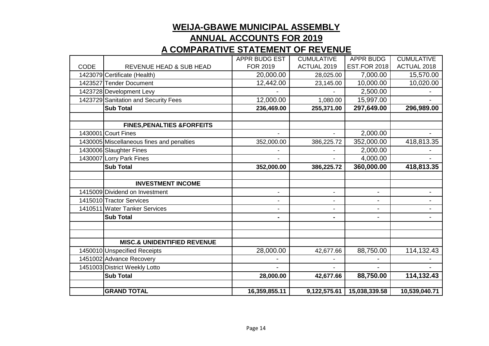|             |                                           | APPR BUDG EST  | <b>CUMULATIVE</b> | <b>APPR BUDG</b>    | <b>CUMULATIVE</b> |
|-------------|-------------------------------------------|----------------|-------------------|---------------------|-------------------|
| <b>CODE</b> | REVENUE HEAD & SUB HEAD                   | FOR 2019       | ACTUAL 2019       | <b>EST.FOR 2018</b> | ACTUAL 2018       |
|             | 1423079 Certificate (Health)              | 20,000.00      | 28,025.00         | 7,000.00            | 15,570.00         |
|             | 1423527 Tender Document                   | 12,442.00      | 23,145.00         | 10,000.00           | 10,020.00         |
|             | 1423728 Development Levy                  |                |                   | 2,500.00            |                   |
|             | 1423729 Sanitation and Security Fees      | 12,000.00      | 1,080.00          | 15,997.00           |                   |
|             | <b>Sub Total</b>                          | 236,469.00     | 255,371.00        | 297,649.00          | 296,989.00        |
|             |                                           |                |                   |                     |                   |
|             | <b>FINES, PENALTIES &amp; FORFEITS</b>    |                |                   |                     |                   |
|             | 1430001 Court Fines                       | $\blacksquare$ | ÷.                | 2,000.00            |                   |
|             | 1430005 Miscellaneous fines and penalties | 352,000.00     | 386,225.72        | 352,000.00          | 418,813.35        |
|             | 1430006 Slaughter Fines                   |                |                   | 2,000.00            |                   |
|             | 1430007 Lorry Park Fines                  |                |                   | 4,000.00            |                   |
|             | <b>Sub Total</b>                          | 352,000.00     | 386,225.72        | 360,000.00          | 418,813.35        |
|             |                                           |                |                   |                     |                   |
|             | <b>INVESTMENT INCOME</b>                  |                |                   |                     |                   |
|             | 1415009 Dividend on Investment            | $\blacksquare$ | $\blacksquare$    | $\blacksquare$      | ۰                 |
|             | 1415010 Tractor Services                  | $\blacksquare$ | $\blacksquare$    | $\blacksquare$      |                   |
|             | 1410511 Water Tanker Services             |                |                   |                     |                   |
|             | <b>Sub Total</b>                          | Ξ.             | ٠                 | $\blacksquare$      | ٠                 |
|             |                                           |                |                   |                     |                   |
|             |                                           |                |                   |                     |                   |
|             | <b>MISC.&amp; UNIDENTIFIED REVENUE</b>    |                |                   |                     |                   |
|             | 1450010 Unspecified Receipts              | 28,000.00      | 42,677.66         | 88,750.00           | 114,132.43        |
|             | 1451002 Advance Recovery                  |                |                   |                     |                   |
|             | 1451003 District Weekly Lotto             |                |                   |                     |                   |
|             | <b>Sub Total</b>                          | 28,000.00      | 42,677.66         | 88,750.00           | 114,132.43        |
|             |                                           |                |                   |                     |                   |
|             | <b>GRAND TOTAL</b>                        | 16,359,855.11  | 9,122,575.61      | 15,038,339.58       | 10,539,040.71     |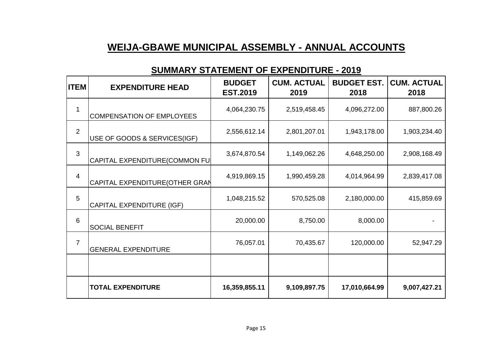# **WEIJA-GBAWE MUNICIPAL ASSEMBLY - ANNUAL ACCOUNTS**

#### **SUMMARY STATEMENT OF EXPENDITURE - 2019**

| <b>ITEM</b>    | <b>EXPENDITURE HEAD</b>          | <b>BUDGET</b><br><b>EST.2019</b> | <b>CUM. ACTUAL</b><br>2019 | <b>BUDGET EST.</b><br>2018 | <b>CUM. ACTUAL</b><br>2018 |
|----------------|----------------------------------|----------------------------------|----------------------------|----------------------------|----------------------------|
| 1              | <b>COMPENSATION OF EMPLOYEES</b> | 4,064,230.75                     | 2,519,458.45               | 4,096,272.00               | 887,800.26                 |
| $\overline{2}$ | USE OF GOODS & SERVICES(IGF)     | 2,556,612.14                     | 2,801,207.01               | 1,943,178.00               | 1,903,234.40               |
| 3              | CAPITAL EXPENDITURE(COMMON FU    | 3,674,870.54                     | 1,149,062.26               | 4,648,250.00               | 2,908,168.49               |
| $\overline{4}$ | CAPITAL EXPENDITURE(OTHER GRAN   | 4,919,869.15                     | 1,990,459.28               | 4,014,964.99               | 2,839,417.08               |
| 5              | <b>CAPITAL EXPENDITURE (IGF)</b> | 1,048,215.52                     | 570,525.08                 | 2,180,000.00               | 415,859.69                 |
| 6              | <b>SOCIAL BENEFIT</b>            | 20,000.00                        | 8,750.00                   | 8,000.00                   |                            |
| $\overline{7}$ | <b>GENERAL EXPENDITURE</b>       | 76,057.01                        | 70,435.67                  | 120,000.00                 | 52,947.29                  |
|                |                                  |                                  |                            |                            |                            |
|                | <b>TOTAL EXPENDITURE</b>         | 16,359,855.11                    | 9,109,897.75               | 17,010,664.99              | 9,007,427.21               |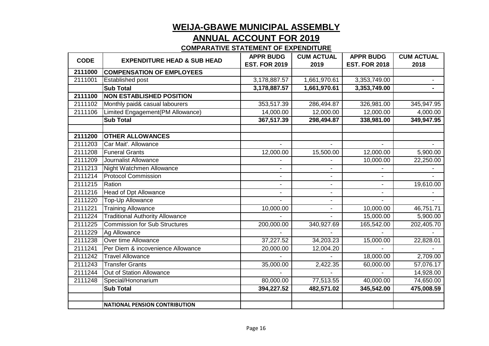#### **ANNUAL ACCOUNT FOR 2019**

| <b>CODE</b> | <b>EXPENDITURE HEAD &amp; SUB HEAD</b> | <b>APPR BUDG</b>     | <b>CUM ACTUAL</b> | <b>APPR BUDG</b>     | <b>CUM ACTUAL</b> |
|-------------|----------------------------------------|----------------------|-------------------|----------------------|-------------------|
|             |                                        | <b>EST. FOR 2019</b> | 2019              | <b>EST. FOR 2018</b> | 2018              |
| 2111000     | <b>COMPENSATION OF EMPLOYEES</b>       |                      |                   |                      |                   |
| 2111001     | <b>Established post</b>                | 3,178,887.57         | 1,661,970.61      | 3,353,749.00         |                   |
|             | <b>Sub Total</b>                       | 3,178,887.57         | 1,661,970.61      | 3,353,749.00         | $\blacksquare$    |
| 2111100     | <b>NON ESTABLISHED POSITION</b>        |                      |                   |                      |                   |
| 2111102     | Monthly paid& casual labourers         | 353,517.39           | 286,494.87        | 326,981.00           | 345,947.95        |
| 2111106     | Limited Engagement(PM Allowance)       | 14,000.00            | 12,000.00         | 12,000.00            | 4,000.00          |
|             | <b>Sub Total</b>                       | 367,517.39           | 298,494.87        | 338,981.00           | 349,947.95        |
|             |                                        |                      |                   |                      |                   |
| 2111200     | <b>OTHER ALLOWANCES</b>                |                      |                   |                      |                   |
| 2111203     | Car Mait'. Allowance                   |                      |                   |                      |                   |
| 2111208     | <b>Funeral Grants</b>                  | 12,000.00            | 15,500.00         | 12,000.00            | 5,900.00          |
| 2111209     | Journalist Allowance                   |                      |                   | 10,000.00            | 22,250.00         |
| 2111213     | Night Watchmen Allowance               |                      |                   |                      |                   |
| 2111214     | <b>Protocol Commission</b>             | $\blacksquare$       | $\sim$            |                      |                   |
| 2111215     | Ration                                 | $\blacksquare$       | $\blacksquare$    | $\blacksquare$       | 19,610.00         |
| 2111216     | <b>Head of Dpt Allowance</b>           |                      |                   |                      |                   |
| 2111220     | Top-Up Allowance                       |                      |                   |                      |                   |
| 2111221     | <b>Training Allowance</b>              | 10,000.00            | $\blacksquare$    | 10,000.00            | 46,751.71         |
| 2111224     | <b>Traditional Authority Allowance</b> |                      |                   | 15,000.00            | 5,900.00          |
| 2111225     | <b>Commission for Sub Structures</b>   | 200,000.00           | 340,927.69        | 165,542.00           | 202,405.70        |
| 2111229     | Ag Allowance                           |                      |                   |                      |                   |
| 2111238     | Over time Allowance                    | 37,227.52            | 34,203.23         | 15,000.00            | 22,828.01         |
| 2111241     | Per Diem & incovenience Allowance      | 20,000.00            | 12,004.20         |                      |                   |
| 2111242     | <b>Travel Allowance</b>                |                      |                   | 18,000.00            | 2,709.00          |
| 2111243     | <b>Transfer Grants</b>                 | 35,000.00            | 2,422.35          | 60,000.00            | 57,076.17         |
| 2111244     | Out of Station Allowance               |                      |                   |                      | 14,928.00         |
| 2111248     | Special/Hononarium                     | 80,000.00            | 77,513.55         | 40,000.00            | 74,650.00         |
|             | <b>Sub Total</b>                       | 394,227.52           | 482,571.02        | 345,542.00           | 475,008.59        |
|             |                                        |                      |                   |                      |                   |
|             | <b>NATIONAL PENSION CONTRIBUTION</b>   |                      |                   |                      |                   |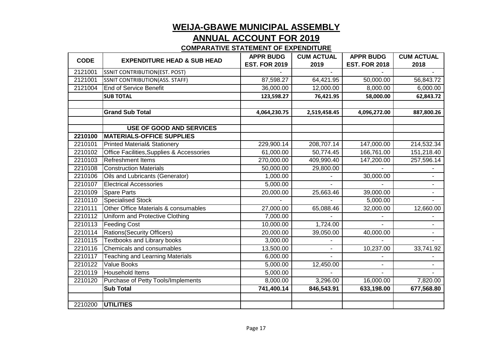#### **ANNUAL ACCOUNT FOR 2019**

| <b>CODE</b> | <b>EXPENDITURE HEAD &amp; SUB HEAD</b>    | <b>APPR BUDG</b>     | <b>CUM ACTUAL</b> | <b>APPR BUDG</b>     | <b>CUM ACTUAL</b> |
|-------------|-------------------------------------------|----------------------|-------------------|----------------------|-------------------|
|             |                                           | <b>EST. FOR 2019</b> | 2019              | <b>EST. FOR 2018</b> | 2018              |
| 2121001     | <b>SSNIT CONTRIBUTION(EST. POST)</b>      |                      |                   |                      |                   |
| 2121001     | <b>SSNIT CONTRIBUTION(ASS. STAFF)</b>     | 87,598.27            | 64,421.95         | 50,000.00            | 56,843.72         |
| 2121004     | <b>End of Service Benefit</b>             | 36,000.00            | 12,000.00         | 8,000.00             | 6,000.00          |
|             | <b>SUB TOTAL</b>                          | 123,598.27           | 76,421.95         | 58,000.00            | 62,843.72         |
|             |                                           |                      |                   |                      |                   |
|             | <b>Grand Sub Total</b>                    | 4,064,230.75         | 2,519,458.45      | 4,096,272.00         | 887,800.26        |
|             |                                           |                      |                   |                      |                   |
|             | <b>USE OF GOOD AND SERVICES</b>           |                      |                   |                      |                   |
| 2210100     | <b>MATERIALS-OFFICE SUPPLIES</b>          |                      |                   |                      |                   |
| 2210101     | <b>Printed Material&amp; Stationery</b>   | 229,900.14           | 208,707.14        | 147,000.00           | 214,532.34        |
| 2210102     | Office Facilities, Supplies & Accessories | 61,000.00            | 50,774.45         | 166,761.00           | 151,218.40        |
| 2210103     | <b>Refreshment Items</b>                  | 270,000.00           | 409,990.40        | 147,200.00           | 257,596.14        |
| 2210108     | <b>Construction Materials</b>             | 50,000.00            | 29,800.00         |                      |                   |
| 2210106     | Oils and Lubricants (Generator)           | 1,000.00             |                   | 30,000.00            |                   |
| 2210107     | <b>Electrical Accessories</b>             | 5,000.00             |                   |                      |                   |
| 2210109     | <b>Spare Parts</b>                        | 20,000.00            | 25,663.46         | 39,000.00            |                   |
| 2210110     | <b>Specialised Stock</b>                  |                      |                   | 5,000.00             |                   |
| 2210111     | Other Office Materials & consumables      | 27,000.00            | 65,088.46         | 32,000.00            | 12,660.00         |
| 2210112     | Uniform and Protective Clothing           | 7,000.00             |                   |                      |                   |
| 2210113     | <b>Feeding Cost</b>                       | 10,000.00            | 1,724.00          |                      |                   |
| 2210114     | <b>Rations(Security Officers)</b>         | 20,000.00            | 39,050.00         | 40,000.00            |                   |
| 2210115     | <b>Textbooks and Library books</b>        | 3,000.00             |                   |                      |                   |
| 2210116     | Chemicals and consumables                 | 13,500.00            |                   | 10,237.00            | 33,741.92         |
| 2210117     | <b>Teaching and Learning Materials</b>    | 6,000.00             |                   |                      |                   |
| 2210122     | <b>Value Books</b>                        | 5,000.00             | 12,450.00         |                      |                   |
| 2210119     | Household Items                           | 5,000.00             |                   |                      |                   |
| 2210120     | Purchase of Petty Tools/Implements        | 8,000.00             | 3,296.00          | 16,000.00            | 7,820.00          |
|             | <b>Sub Total</b>                          | 741,400.14           | 846,543.91        | 633,198.00           | 677,568.80        |
|             |                                           |                      |                   |                      |                   |
| 2210200     | <b>UTILITIES</b>                          |                      |                   |                      |                   |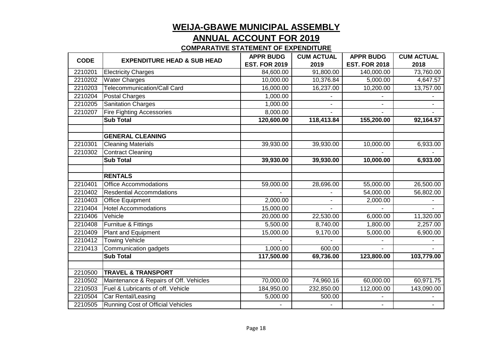#### **ANNUAL ACCOUNT FOR 2019**

| <b>CODE</b> | <b>EXPENDITURE HEAD &amp; SUB HEAD</b>   | <b>APPR BUDG</b>     | <b>CUM ACTUAL</b> | <b>APPR BUDG</b>     | <b>CUM ACTUAL</b> |
|-------------|------------------------------------------|----------------------|-------------------|----------------------|-------------------|
|             |                                          | <b>EST. FOR 2019</b> | 2019              | <b>EST. FOR 2018</b> | 2018              |
| 2210201     | <b>Electricity Charges</b>               | 84,600.00            | 91,800.00         | 140,000.00           | 73,760.00         |
| 2210202     | <b>Water Charges</b>                     | 10,000.00            | 10,376.84         | 5,000.00             | 4,647.57          |
| 2210203     | <b>Telecommunication/Call Card</b>       | 16,000.00            | 16,237.00         | 10,200.00            | 13,757.00         |
| 2210204     | <b>Postal Charges</b>                    | 1,000.00             |                   |                      |                   |
| 2210205     | <b>Sanitation Charges</b>                | 1,000.00             |                   |                      |                   |
| 2210207     | <b>Fire Fighting Accessories</b>         | 8,000.00             |                   |                      |                   |
|             | <b>Sub Total</b>                         | 120,600.00           | 118,413.84        | 155,200.00           | 92,164.57         |
|             |                                          |                      |                   |                      |                   |
|             | <b>GENERAL CLEANING</b>                  |                      |                   |                      |                   |
| 2210301     | <b>Cleaning Materials</b>                | 39,930.00            | 39,930.00         | 10,000.00            | 6,933.00          |
| 2210302     | <b>Contract Cleaning</b>                 |                      |                   |                      |                   |
|             | <b>Sub Total</b>                         | 39,930.00            | 39,930.00         | 10,000.00            | 6,933.00          |
|             | <b>RENTALS</b>                           |                      |                   |                      |                   |
| 2210401     | <b>Office Accommodations</b>             | 59,000.00            | 28,696.00         | 55,000.00            | 26,500.00         |
| 2210402     | <b>Resdential Accommdations</b>          |                      |                   | 54,000.00            | 56,802.00         |
| 2210403     | <b>Office Equipment</b>                  | 2,000.00             |                   | 2,000.00             |                   |
| 2210404     | <b>Hotel Accommodations</b>              | 15,000.00            |                   |                      |                   |
| 2210406     | Vehicle                                  | 20,000.00            | 22,530.00         | 6,000.00             | 11,320.00         |
| 2210408     | Furnitue & Fittings                      | 5,500.00             | 8,740.00          | 1,800.00             | 2,257.00          |
| 2210409     | <b>Plant and Equipment</b>               | 15,000.00            | 9,170.00          | 5,000.00             | 6,900.00          |
| 2210412     | <b>Towing Vehicle</b>                    |                      |                   |                      |                   |
| 2210413     | Communication gadgets                    | 1,000.00             | 600.00            |                      |                   |
|             | <b>Sub Total</b>                         | 117,500.00           | 69,736.00         | 123,800.00           | 103,779.00        |
|             |                                          |                      |                   |                      |                   |
| 2210500     | <b>TRAVEL &amp; TRANSPORT</b>            |                      |                   |                      |                   |
| 2210502     | Maintenance & Repairs of Off. Vehicles   | 70,000.00            | 74,960.16         | 60,000.00            | 60,971.75         |
| 2210503     | Fuel & Lubricants of off. Vehicle        | 184,950.00           | 232,850.00        | 112,000.00           | 143,090.00        |
| 2210504     | Car Rental/Leasing                       | 5,000.00             | 500.00            |                      |                   |
| 2210505     | <b>Running Cost of Official Vehicles</b> |                      |                   | $\blacksquare$       |                   |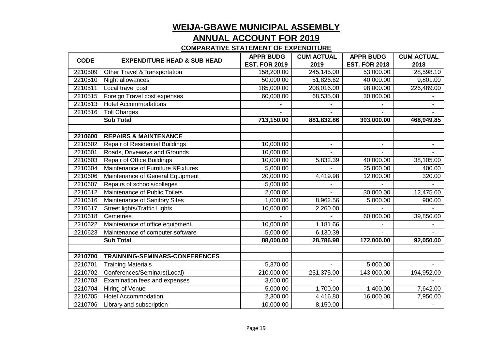#### **ANNUAL ACCOUNT FOR 2019**

| <b>CODE</b> | <b>EXPENDITURE HEAD &amp; SUB HEAD</b> | <b>APPR BUDG</b>      | <b>CUM ACTUAL</b> | <b>APPR BUDG</b>     | <b>CUM ACTUAL</b> |
|-------------|----------------------------------------|-----------------------|-------------------|----------------------|-------------------|
|             |                                        | <b>EST. FOR 2019</b>  | 2019              | <b>EST. FOR 2018</b> | 2018              |
| 2210509     | Other Travel & Transportation          | 158,200.00            | 245,145.00        | 53,000.00            | 28,598.10         |
| 2210510     | Night allowances                       | 50,000.00             | 51,826.62         | 40,000.00            | 9,801.00          |
| 2210511     | Local travel cost                      | 185,000.00            | 208,016.00        | 98,000.00            | 226,489.00        |
| 2210515     | Foreign Travel cost expenses           | 60,000.00             | 68,535.08         | 30,000.00            |                   |
| 2210513     | <b>Hotel Accommodations</b>            |                       |                   |                      |                   |
| 2210516     | <b>Toll Charges</b>                    |                       |                   |                      |                   |
|             | <b>Sub Total</b>                       | 713,150.00            | 881,832.86        | 393,000.00           | 468,949.85        |
|             |                                        |                       |                   |                      |                   |
| 2210600     | <b>REPAIRS &amp; MAINTENANCE</b>       |                       |                   |                      |                   |
| 2210602     | Repair of Residential Buildings        | 10,000.00             | $\blacksquare$    | $\blacksquare$       | $\blacksquare$    |
| 2210601     | Roads, Driveways and Grounds           | 10,000.00             |                   |                      |                   |
| 2210603     | <b>Repair of Office Buildings</b>      | 10,000.00             | 5,832.39          | 40,000.00            | 38,105.00         |
| 2210604     | Maintenance of Furniture & Fixtures    | 5,000.00              |                   | 25,000.00            | 400.00            |
| 2210606     | Maintenance of General Equipment       | 20,000.00             | 4,419.98          | 12,000.00            | 320.00            |
| 2210607     | Repairs of schools/colleges            | 5,000.00              |                   |                      |                   |
| 2210612     | Maintenance of Public Toilets          | 2,000.00              |                   | 30,000.00            | 12,475.00         |
| 2210616     | Maintenance of Sanitory Sites          | 1,000.00              | 8,962.56          | 5,000.00             | 900.00            |
| 2210617     | <b>Street lights/Traffic Lights</b>    | 10,000.00             | 2,260.00          |                      |                   |
| 2210618     | Cemetries                              |                       |                   | 60,000.00            | 39,850.00         |
| 2210622     | Maintenance of office equipment        | 10,000.00             | 1,181.66          |                      |                   |
| 2210623     | Maintenance of computer software       | 5,000.00              | 6,130.39          |                      |                   |
|             | <b>Sub Total</b>                       | 88,000.00             | 28,786.98         | 172,000.00           | 92,050.00         |
|             |                                        |                       |                   |                      |                   |
| 2210700     | TRAINNING-SEMINARS-CONFERENCES         |                       |                   |                      |                   |
| 2210701     | <b>Training Materials</b>              | $\overline{5,37}0.00$ | $\overline{a}$    | 5,000.00             |                   |
| 2210702     | Conferences/Seminars(Local)            | 210,000.00            | 231,375.00        | 143,000.00           | 194,952.00        |
| 2210703     | Examination fees and expenses          | 3,000.00              |                   |                      |                   |
| 2210704     | <b>Hiring of Venue</b>                 | 5,000.00              | 1,700.00          | 1,400.00             | 7,642.00          |
| 2210705     | <b>Hotel Accommodation</b>             | 2,300.00              | 4,416.80          | 16,000.00            | 7,950.00          |
| 2210706     | Library and subscription               | 10,000.00             | 8,150.00          |                      |                   |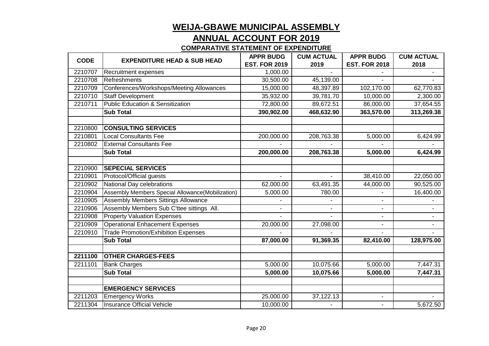#### **ANNUAL ACCOUNT FOR 2019**

| <b>CODE</b> | <b>EXPENDITURE HEAD &amp; SUB HEAD</b>           | <b>APPR BUDG</b>     | <b>CUM ACTUAL</b> | <b>APPR BUDG</b>     | <b>CUM ACTUAL</b>     |
|-------------|--------------------------------------------------|----------------------|-------------------|----------------------|-----------------------|
|             |                                                  | <b>EST. FOR 2019</b> | 2019              | <b>EST. FOR 2018</b> | 2018                  |
| 2210707     | <b>Recruitment expenses</b>                      | 1,000.00             |                   |                      |                       |
| 2210708     | Refreshments                                     | 30,500.00            | 45,139.00         |                      |                       |
| 2210709     | Conferences/Workshops/Meeting Allowances         | 15,000.00            | 48,397.89         | 102,170.00           | 62,770.83             |
| 2210710     | <b>Staff Development</b>                         | 35,932.00            | 39,781.70         | 10,000.00            | 2,300.00              |
| 2210711     | Public Education & Sensitization                 | 72,800.00            | 89,672.51         | 86,000.00            | 37,654.55             |
|             | <b>Sub Total</b>                                 | 390,902.00           | 468,632.90        | 363,570.00           | 313,269.38            |
| 2210800     | <b>CONSULTING SERVICES</b>                       |                      |                   |                      |                       |
| 2210801     | <b>Local Consultants Fee</b>                     | 200,000.00           | 208,763.38        | 5,000.00             | 6,424.99              |
| 2210802     | <b>External Consultants Fee</b>                  |                      |                   |                      |                       |
|             | <b>Sub Total</b>                                 | 200,000.00           | 208,763.38        | 5,000.00             | 6,424.99              |
| 2210900     | <b>SEPECIAL SERVICES</b>                         |                      |                   |                      |                       |
| 2210901     | Protocol/Official guests                         |                      |                   | 38,410.00            | 22,050.00             |
| 2210902     | National Day celebrations                        | 62,000.00            | 63,491.35         | 44,000.00            | 90,525.00             |
| 2210904     | Assembly Members Special Allowance(Mobilization) | 5,000.00             | 780.00            |                      | 16,400.00             |
| 2210905     | <b>Assembly Members Sittings Allowance</b>       |                      |                   |                      |                       |
| 2210906     | Assembly Members Sub C'ttee sittings All.        | $\blacksquare$       | $\blacksquare$    | $\blacksquare$       |                       |
| 2210908     | <b>Property Valuation Expenses</b>               |                      |                   |                      |                       |
| 2210909     | <b>Operational Enhacement Expenses</b>           | 20,000.00            | 27,098.00         |                      |                       |
| 2210910     | <b>Trade Promotion/Exhibition Expenses</b>       |                      |                   |                      |                       |
|             | <b>Sub Total</b>                                 | 87,000.00            | 91,369.35         | 82,410.00            | 128,975.00            |
| 2211100     | <b>OTHER CHARGES-FEES</b>                        |                      |                   |                      |                       |
| 2211101     | <b>Bank Charges</b>                              | 5,000.00             | 10,075.66         | 5,000.00             | 7,447.31              |
|             | <b>Sub Total</b>                                 | 5,000.00             | 10,075.66         | 5,000.00             | $\overline{7,}447.31$ |
|             | <b>EMERGENCY SERVICES</b>                        |                      |                   |                      |                       |
| 2211203     | <b>Emergency Works</b>                           | 25,000.00            | 37,122.13         |                      |                       |
| 2211304     | <b>Insurance Official Vehicle</b>                | 10,000.00            |                   |                      | 5,672.50              |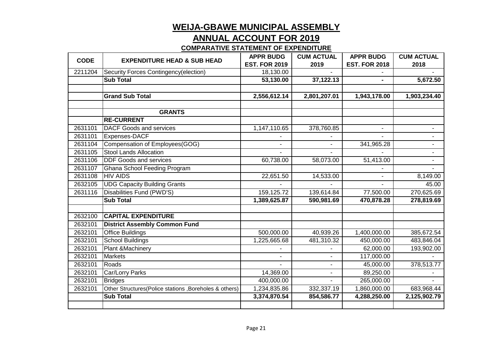#### **ANNUAL ACCOUNT FOR 2019**

| <b>CODE</b> | <b>EXPENDITURE HEAD &amp; SUB HEAD</b>                 | <b>APPR BUDG</b>     | <b>CUM ACTUAL</b> | <b>APPR BUDG</b>     | <b>CUM ACTUAL</b> |
|-------------|--------------------------------------------------------|----------------------|-------------------|----------------------|-------------------|
|             |                                                        | <b>EST. FOR 2019</b> | 2019              | <b>EST. FOR 2018</b> | 2018              |
| 2211204     | Security Forces Contingency(election)                  | 18,130.00            |                   |                      |                   |
|             | <b>Sub Total</b>                                       | 53,130.00            | 37,122.13         |                      | 5,672.50          |
|             |                                                        |                      |                   |                      |                   |
|             | <b>Grand Sub Total</b>                                 | 2,556,612.14         | 2,801,207.01      | 1,943,178.00         | 1,903,234.40      |
|             |                                                        |                      |                   |                      |                   |
|             | <b>GRANTS</b>                                          |                      |                   |                      |                   |
|             | <b>RE-CURRENT</b>                                      |                      |                   |                      |                   |
| 2631101     | <b>DACF Goods and services</b>                         | 1,147,110.65         | 378,760.85        |                      |                   |
| 2631101     | Expenses-DACF                                          |                      |                   |                      |                   |
| 2631104     | Compensation of Employees(GOG)                         |                      |                   | 341,965.28           |                   |
| 2631105     | <b>Stool Lands Allocation</b>                          |                      |                   |                      |                   |
| 2631106     | <b>DDF Goods and services</b>                          | 60,738.00            | 58,073.00         | 51,413.00            |                   |
| 2631107     | Ghana School Feeding Program                           |                      |                   |                      |                   |
| 2631108     | <b>HIV AIDS</b>                                        | 22,651.50            | 14,533.00         |                      | 8,149.00          |
| 2632105     | <b>UDG Capacity Building Grants</b>                    |                      |                   | $\blacksquare$       | 45.00             |
| 2631116     | Disabilities Fund (PWD'S)                              | 159,125.72           | 139,614.84        | 77,500.00            | 270,625.69        |
|             | <b>Sub Total</b>                                       | 1,389,625.87         | 590,981.69        | 470,878.28           | 278,819.69        |
|             |                                                        |                      |                   |                      |                   |
| 2632100     | <b>CAPITAL EXPENDITURE</b>                             |                      |                   |                      |                   |
| 2632101     | <b>District Assembly Common Fund</b>                   |                      |                   |                      |                   |
| 2632101     | <b>Office Buildings</b>                                | 500,000.00           | 40,939.26         | 1,400,000.00         | 385,672.54        |
| 2632101     | <b>School Buildings</b>                                | 1,225,665.68         | 481,310.32        | 450,000.00           | 483,846.04        |
| 2632101     | Plant & Machinery                                      |                      |                   | 62,000.00            | 193,902.00        |
| 2632101     | <b>Markets</b>                                         |                      | $\blacksquare$    | 117,000.00           |                   |
| 2632101     | Roads                                                  |                      | $\blacksquare$    | 45,000.00            | 378,513.77        |
| 2632101     | Car/Lorry Parks                                        | 14,369.00            | $\blacksquare$    | 89,250.00            |                   |
| 2632101     | <b>Bridges</b>                                         | 400,000.00           |                   | 265,000.00           |                   |
| 2632101     | Other Structures(Police stations , Boreholes & others) | 1,234,835.86         | 332,337.19        | 1,860,000.00         | 683,968.44        |
|             | <b>Sub Total</b>                                       | 3,374,870.54         | 854,586.77        | 4,288,250.00         | 2,125,902.79      |
|             |                                                        |                      |                   |                      |                   |
|             |                                                        |                      |                   |                      |                   |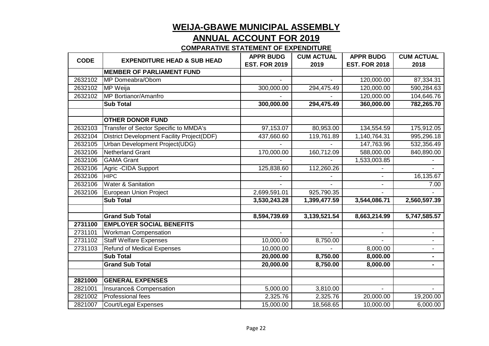#### **ANNUAL ACCOUNT FOR 2019**

| <b>CODE</b> | <b>EXPENDITURE HEAD &amp; SUB HEAD</b>            | <b>APPR BUDG</b>     | <b>CUM ACTUAL</b> | <b>APPR BUDG</b>     | <b>CUM ACTUAL</b> |
|-------------|---------------------------------------------------|----------------------|-------------------|----------------------|-------------------|
|             |                                                   | <b>EST. FOR 2019</b> | 2019              | <b>EST. FOR 2018</b> | 2018              |
|             | <b>MEMBER OF PARLIAMENT FUND</b>                  |                      |                   |                      |                   |
| 2632102     | MP Domeabra/Obom                                  |                      |                   | 120,000.00           | 87,334.31         |
| 2632102     | MP Weija                                          | 300,000.00           | 294,475.49        | 120,000.00           | 590,284.63        |
| 2632102     | MP Bortianor/Amanfro                              |                      |                   | 120,000.00           | 104,646.76        |
|             | <b>Sub Total</b>                                  | 300,000.00           | 294,475.49        | 360,000.00           | 782,265.70        |
|             |                                                   |                      |                   |                      |                   |
|             | <b>OTHER DONOR FUND</b>                           |                      |                   |                      |                   |
| 2632103     | Transfer of Sector Specific to MMDA's             | 97,153.07            | 80,953.00         | 134,554.59           | 175,912.05        |
| 2632104     | <b>District Development Facility Project(DDF)</b> | 437,660.60           | 119,761.89        | 1,140,764.31         | 995,296.18        |
| 2632105     | Urban Development Project(UDG)                    |                      |                   | 147,763.96           | 532,356.49        |
| 2632106     | <b>Netherland Grant</b>                           | 170,000.00           | 160,712.09        | 588,000.00           | 840,890.00        |
| 2632106     | <b>GAMA Grant</b>                                 |                      |                   | 1,533,003.85         |                   |
| 2632106     | Agric - CIDA Support                              | 125,838.60           | 112,260.26        |                      |                   |
| 2632106     | <b>HIPC</b>                                       |                      |                   |                      | 16,135.67         |
| 2632106     | <b>Water &amp; Sanitation</b>                     |                      |                   | $\blacksquare$       | 7.00              |
| 2632106     | <b>European Union Project</b>                     | 2,699,591.01         | 925,790.35        |                      |                   |
|             | <b>Sub Total</b>                                  | 3,530,243.28         | 1,399,477.59      | 3,544,086.71         | 2,560,597.39      |
|             |                                                   |                      |                   |                      |                   |
|             | <b>Grand Sub Total</b>                            | 8,594,739.69         | 3,139,521.54      | 8,663,214.99         | 5,747,585.57      |
| 2731100     | <b>EMPLOYER SOCIAL BENEFITS</b>                   |                      |                   |                      |                   |
| 2731101     | <b>Workman Compensation</b>                       |                      |                   |                      |                   |
| 2731102     | <b>Staff Welfare Expenses</b>                     | 10,000.00            | 8,750.00          |                      |                   |
| 2731103     | <b>Refund of Medical Expenses</b>                 | 10,000.00            |                   | 8,000.00             |                   |
|             | <b>Sub Total</b>                                  | 20,000.00            | 8,750.00          | 8,000.00             |                   |
|             | <b>Grand Sub Total</b>                            | 20,000.00            | 8,750.00          | 8,000.00             | ۰                 |
|             |                                                   |                      |                   |                      |                   |
| 2821000     | <b>GENERAL EXPENSES</b>                           |                      |                   |                      |                   |
| 2821001     | Insurance& Compensation                           | 5,000.00             | 3,810.00          |                      |                   |
| 2821002     | Professional fees                                 | 2,325.76             | 2,325.76          | 20,000.00            | 19,200.00         |
| 2821007     | Court/Legal Expenses                              | 15,000.00            | 18,568.65         | 10,000.00            | 6,000.00          |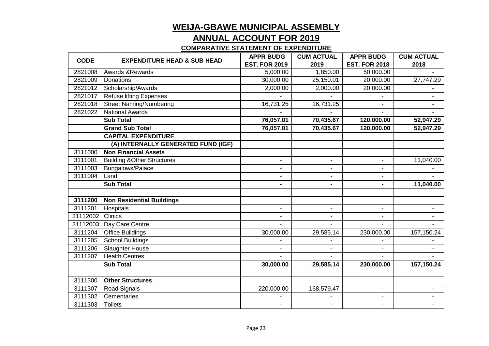#### **ANNUAL ACCOUNT FOR 2019**

| <b>CODE</b> | <b>EXPENDITURE HEAD &amp; SUB HEAD</b> | <b>APPR BUDG</b>     | <b>CUM ACTUAL</b> | <b>APPR BUDG</b>     | <b>CUM ACTUAL</b> |
|-------------|----------------------------------------|----------------------|-------------------|----------------------|-------------------|
|             |                                        | <b>EST. FOR 2019</b> | 2019              | <b>EST. FOR 2018</b> | 2018              |
| 2821008     | <b>Awards &amp; Rewards</b>            | $\frac{1}{5,000.00}$ | 1,850.00          | 50,000.00            |                   |
| 2821009     | Donations                              | 30,000.00            | 25,150.01         | 20,000.00            | 27,747.29         |
| 2821012     | Scholarship/Awards                     | 2,000.00             | 2,000.00          | 20,000.00            |                   |
| 2821017     | <b>Refuse lifting Expenses</b>         |                      |                   |                      |                   |
| 2821018     | <b>Street Naming/Numbering</b>         | 16,731.25            | 16,731.25         |                      |                   |
| 2821022     | <b>National Awards</b>                 |                      |                   |                      |                   |
|             | <b>Sub Total</b>                       | 76,057.01            | 70,435.67         | 120,000.00           | 52,947.29         |
|             | <b>Grand Sub Total</b>                 | 76,057.01            | 70,435.67         | 120,000.00           | 52,947.29         |
|             | <b>CAPITAL EXPENDITURE</b>             |                      |                   |                      |                   |
|             | (A) INTERNALLY GENERATED FUND (IGF)    |                      |                   |                      |                   |
| 3111000     | <b>Non Financial Assets</b>            |                      |                   |                      |                   |
| 3111001     | <b>Building &amp; Other Structures</b> |                      | $\blacksquare$    | $\blacksquare$       | 11,040.00         |
| 3111003     | Bungalows/Palace                       | $\blacksquare$       | $\blacksquare$    | $\blacksquare$       |                   |
| 3111004     | Land                                   |                      |                   |                      |                   |
|             | <b>Sub Total</b>                       | $\blacksquare$       | ٠                 | $\blacksquare$       | 11,040.00         |
| 3111200     | <b>Non Residential Buildings</b>       |                      |                   |                      |                   |
| 3111201     | <b>Hospitals</b>                       | $\blacksquare$       | $\blacksquare$    | $\blacksquare$       |                   |
| 31112002    | <b>Clinics</b>                         |                      |                   |                      |                   |
| 31112003    | Day Care Centre                        |                      |                   |                      |                   |
| 3111204     | <b>Office Buildings</b>                | 30,000.00            | 29,585.14         | 230,000.00           | 157,150.24        |
| 3111205     | <b>School Buildings</b>                |                      |                   |                      |                   |
| 3111206     | <b>Slaughter House</b>                 |                      |                   |                      |                   |
| 3111207     | <b>Health Centres</b>                  |                      |                   |                      |                   |
|             | <b>Sub Total</b>                       | 30,000.00            | 29,585.14         | 230,000.00           | 157,150.24        |
| 3111300     | <b>Other Structures</b>                |                      |                   |                      |                   |
| 3111307     | <b>Road Signals</b>                    | 220,000.00           | 168,579.47        | $\blacksquare$       |                   |
| 3111302     | Cementaries                            |                      |                   |                      |                   |
| 3111303     | <b>Toilets</b>                         | $\blacksquare$       | $\blacksquare$    | $\blacksquare$       |                   |
|             |                                        |                      |                   |                      |                   |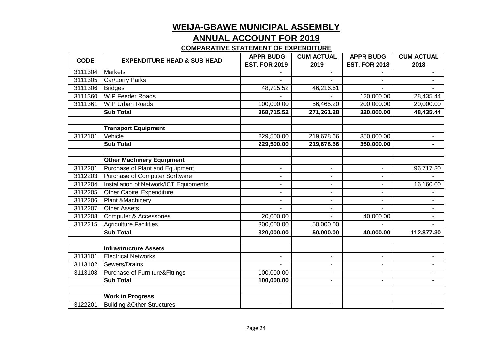#### **ANNUAL ACCOUNT FOR 2019**

| <b>CODE</b> | <b>EXPENDITURE HEAD &amp; SUB HEAD</b>    | <b>APPR BUDG</b>     | <b>CUM ACTUAL</b> | <b>APPR BUDG</b>     | <b>CUM ACTUAL</b> |
|-------------|-------------------------------------------|----------------------|-------------------|----------------------|-------------------|
|             |                                           | <b>EST. FOR 2019</b> | 2019              | <b>EST. FOR 2018</b> | 2018              |
| 3111304     | <b>Markets</b>                            |                      |                   |                      |                   |
| 3111305     | Car/Lorry Parks                           |                      |                   |                      |                   |
| 3111306     | <b>Bridges</b>                            | 48,715.52            | 46,216.61         |                      |                   |
| 3111360     | <b>WIP Feeder Roads</b>                   |                      |                   | 120,000.00           | 28,435.44         |
| 3111361     | <b>WIP Urban Roads</b>                    | 100,000.00           | 56,465.20         | 200,000.00           | 20,000.00         |
|             | <b>Sub Total</b>                          | 368,715.52           | 271,261.28        | 320,000.00           | 48,435.44         |
|             | <b>Transport Equipment</b>                |                      |                   |                      |                   |
| 3112101     | Vehicle                                   | 229,500.00           | 219,678.66        | 350,000.00           | $\blacksquare$    |
|             | <b>Sub Total</b>                          | 229,500.00           | 219,678.66        | 350,000.00           |                   |
|             | <b>Other Machinery Equipment</b>          |                      |                   |                      |                   |
| 3112201     | Purchase of Plant and Equipment           | $\blacksquare$       | $\blacksquare$    | $\blacksquare$       | 96,717.30         |
| 3112203     | <b>Purchase of Computer Sorftware</b>     |                      | $\blacksquare$    |                      |                   |
| 3112204     | Installation of Network/ICT Equipments    | $\blacksquare$       | $\blacksquare$    | $\blacksquare$       | 16,160.00         |
| 3112205     | <b>Other Capitel Expenditure</b>          |                      | $\blacksquare$    | $\blacksquare$       |                   |
| 3112206     | Plant & Machinery                         |                      |                   |                      |                   |
| 3112207     | <b>Other Assets</b>                       | $\blacksquare$       | $\blacksquare$    |                      |                   |
| 3112208     | <b>Computer &amp; Accessories</b>         | 20,000.00            |                   | 40,000.00            |                   |
| 3112215     | <b>Agriculture Facilities</b>             | 300,000.00           | 50,000.00         |                      |                   |
|             | <b>Sub Total</b>                          | 320,000.00           | 50,000.00         | 40,000.00            | 112,877.30        |
|             | <b>Infrastructure Assets</b>              |                      |                   |                      |                   |
| 3113101     | <b>Electrical Networks</b>                | $\blacksquare$       | $\blacksquare$    | $\blacksquare$       | ۰                 |
| 3113102     | Sewers/Drains                             |                      | $\blacksquare$    | $\blacksquare$       |                   |
| 3113108     | <b>Purchase of Furniture&amp;Fittings</b> | 100,000.00           | $\blacksquare$    | $\blacksquare$       |                   |
|             | <b>Sub Total</b>                          | 100,000.00           | $\blacksquare$    | $\blacksquare$       | ۰                 |
|             | <b>Work in Progress</b>                   |                      |                   |                      |                   |
| 3122201     | <b>Building &amp;Other Structures</b>     | $\blacksquare$       | $\blacksquare$    | $\blacksquare$       | $\blacksquare$    |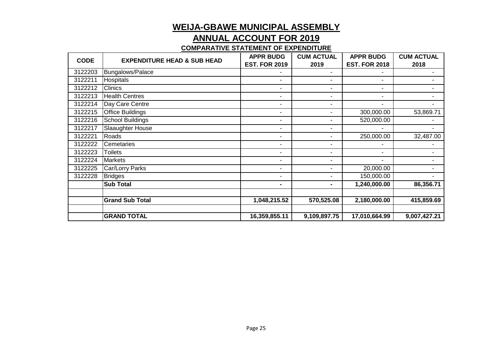#### **ANNUAL ACCOUNT FOR 2019**

| <b>CODE</b> | <b>EXPENDITURE HEAD &amp; SUB HEAD</b> | <b>APPR BUDG</b>         | <b>CUM ACTUAL</b>        | <b>APPR BUDG</b>         | <b>CUM ACTUAL</b> |
|-------------|----------------------------------------|--------------------------|--------------------------|--------------------------|-------------------|
|             |                                        | <b>EST. FOR 2019</b>     | 2019                     | <b>EST. FOR 2018</b>     | 2018              |
| 3122203     | Bungalows/Palace                       |                          | $\overline{\phantom{a}}$ |                          | ۰                 |
| 3122211     | Hospitals                              | $\blacksquare$           | $\blacksquare$           | $\blacksquare$           | ۰                 |
| 3122212     | <b>Clinics</b>                         | ۰                        | $\blacksquare$           | $\overline{\phantom{a}}$ |                   |
| 3122213     | <b>Health Centres</b>                  | $\blacksquare$           | $\blacksquare$           | $\blacksquare$           |                   |
| 3122214     | Day Care Centre                        | ۰                        | $\blacksquare$           |                          |                   |
| 3122215     | Office Buildings                       | $\blacksquare$           | $\blacksquare$           | 300,000.00               | 53,869.71         |
| 3122216     | <b>School Buildings</b>                | ۰                        | $\overline{\phantom{0}}$ | 520,000.00               |                   |
| 3122217     | Slaaughter House                       | $\blacksquare$           | $\blacksquare$           |                          |                   |
| 3122221     | Roads                                  | $\blacksquare$           | $\blacksquare$           | 250,000.00               | 32,487.00         |
| 3122222     | Cemetaries                             | $\blacksquare$           | $\blacksquare$           |                          |                   |
| 3122223     | <b>Toilets</b>                         | $\blacksquare$           | $\overline{\phantom{a}}$ | $\overline{\phantom{a}}$ |                   |
| 3122224     | <b>Markets</b>                         | ۰                        | $\blacksquare$           | $\blacksquare$           |                   |
| 3122225     | Car/Lorry Parks                        | $\overline{\phantom{0}}$ | $\blacksquare$           | 20,000.00                |                   |
| 3122228     | <b>Bridges</b>                         | ٠                        | $\blacksquare$           | 150,000.00               |                   |
|             | <b>Sub Total</b>                       | ۰                        | ٠                        | 1,240,000.00             | 86,356.71         |
|             |                                        |                          |                          |                          |                   |
|             | <b>Grand Sub Total</b>                 | 1,048,215.52             | 570,525.08               | 2,180,000.00             | 415,859.69        |
|             |                                        |                          |                          |                          |                   |
|             | <b>GRAND TOTAL</b>                     | 16,359,855.11            | 9,109,897.75             | 17,010,664.99            | 9,007,427.21      |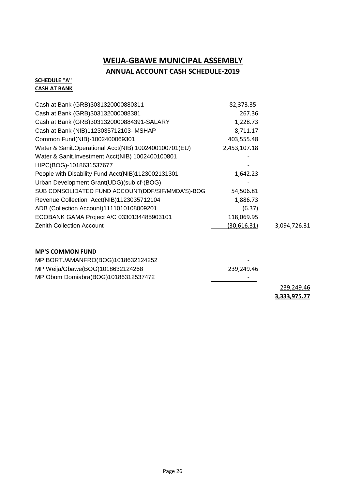#### **WEIJA-GBAWE MUNICIPAL ASSEMBLY ANNUAL ACCOUNT CASH SCHEDULE-2019**

#### **SCHEDULE ''A'' CASH AT BANK**

| Cash at Bank (GRB)3031320000880311                     | 82,373.35    |              |
|--------------------------------------------------------|--------------|--------------|
| Cash at Bank (GRB)303132000088381                      | 267.36       |              |
| Cash at Bank (GRB)3031320000884391-SALARY              | 1,228.73     |              |
| Cash at Bank (NIB)1123035712103- MSHAP                 | 8,711.17     |              |
| Common Fund(NIB)-1002400069301                         | 403,555.48   |              |
| Water & Sanit. Operational Acct(NIB) 1002400100701(EU) | 2,453,107.18 |              |
| Water & Sanit. Investment Acct(NIB) 1002400100801      |              |              |
| HIPC(BOG)-1018631537677                                |              |              |
| People with Disability Fund Acct(NIB)1123002131301     | 1,642.23     |              |
| Urban Development Grant(UDG)(sub cf-(BOG)              |              |              |
| SUB CONSOLIDATED FUND ACCOUNT(DDF/SIF/MMDA'S)-BOG      | 54,506.81    |              |
| Revenue Collection Acct(NIB)1123035712104              | 1,886.73     |              |
| ADB (Collection Account)1111010108009201               | (6.37)       |              |
| ECOBANK GAMA Project A/C 0330134485903101              | 118,069.95   |              |
| <b>Zenith Collection Account</b>                       | (30,616.31)  | 3,094,726.31 |
|                                                        |              |              |

#### **MP'S COMMON FUND**

| MP BORT./AMANFRO(BOG)1018632124252  | -                   |            |
|-------------------------------------|---------------------|------------|
| MP Weija/Gbawe(BOG)1018632124268    | 239.249.46          |            |
| MP Obom Domiabra(BOG)10186312537472 |                     |            |
|                                     |                     | 239,249.46 |
|                                     | <u>3,333,975.77</u> |            |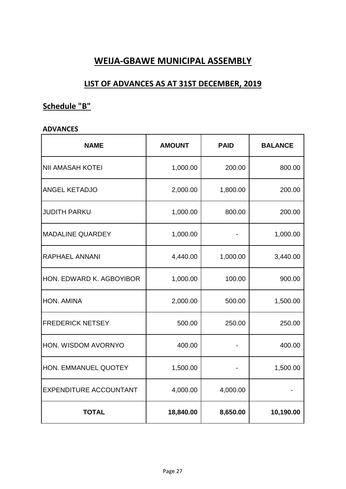#### **LIST OF ADVANCES AS AT 31ST DECEMBER, 2019**

#### **Schedule "B"**

#### **ADVANCES**

| <b>NAME</b>                   | <b>AMOUNT</b> | <b>PAID</b> | <b>BALANCE</b> |
|-------------------------------|---------------|-------------|----------------|
| <b>NII AMASAH KOTEI</b>       | 1,000.00      | 200.00      | 800.00         |
| <b>ANGEL KETADJO</b>          | 2,000.00      | 1,800.00    | 200.00         |
| <b>JUDITH PARKU</b>           | 1,000.00      | 800.00      | 200.00         |
| <b>MADALINE QUARDEY</b>       | 1,000.00      |             | 1,000.00       |
| <b>RAPHAEL ANNANI</b>         | 4,440.00      | 1,000.00    | 3,440.00       |
| HON. EDWARD K. AGBOYIBOR      | 1,000.00      | 100.00      | 900.00         |
| HON. AMINA                    | 2,000.00      | 500.00      | 1,500.00       |
| <b>FREDERICK NETSEY</b>       | 500.00        | 250.00      | 250.00         |
| HON. WISDOM AVORNYO           | 400.00        |             | 400.00         |
| HON. EMMANUEL QUOTEY          | 1,500.00      |             | 1,500.00       |
| <b>EXPENDITURE ACCOUNTANT</b> | 4,000.00      | 4,000.00    |                |
| <b>TOTAL</b>                  | 18,840.00     | 8,650.00    | 10,190.00      |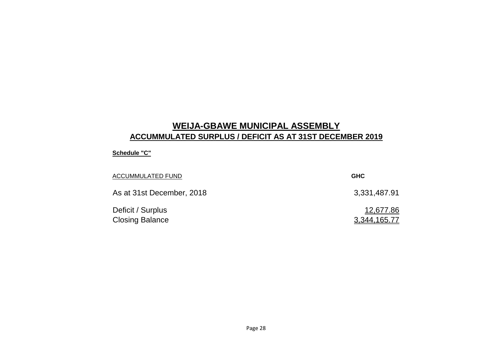### **WEIJA-GBAWE MUNICIPAL ASSEMBLY ACCUMMULATED SURPLUS / DEFICIT AS AT 31ST DECEMBER 2019**

#### **Schedule "C"**

| <b>ACCUMMULATED FUND</b>                    | <b>GHC</b>                |
|---------------------------------------------|---------------------------|
| As at 31st December, 2018                   | 3,331,487.91              |
| Deficit / Surplus<br><b>Closing Balance</b> | 12,677.86<br>3,344,165.77 |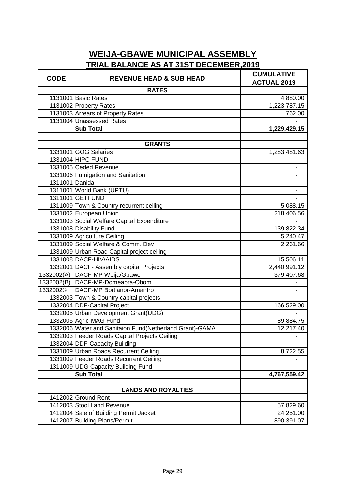| <b>CODE</b>    | <b>REVENUE HEAD &amp; SUB HEAD</b>                       | <b>CUMULATIVE</b><br><b>ACTUAL 2019</b> |
|----------------|----------------------------------------------------------|-----------------------------------------|
|                | <b>RATES</b>                                             |                                         |
|                | 1131001 Basic Rates                                      | 4,880.00                                |
|                | 1131002 Property Rates                                   | 1,223,787.15                            |
|                | 1131003 Arrears of Property Rates                        | 762.00                                  |
|                | 1131004 Unassessed Rates                                 |                                         |
|                | <b>Sub Total</b>                                         | 1,229,429.15                            |
|                |                                                          |                                         |
|                | <b>GRANTS</b>                                            |                                         |
|                | 1331001 GOG Salaries                                     | 1,283,481.63                            |
|                | 1331004 HIPC FUND                                        |                                         |
|                | 1331005 Ceded Revenue                                    |                                         |
|                | 1331006 Fumigation and Sanitation                        | $\overline{\phantom{0}}$                |
| 1311001 Danida |                                                          |                                         |
|                | 1311001 World Bank (UPTU)                                |                                         |
|                | 1311001 GETFUND                                          |                                         |
|                | 1311009 Town & Country recurrent ceiling                 | 5,088.15                                |
|                | 1331002 European Union                                   | 218,406.56                              |
|                | 1331003 Social Welfare Capital Expenditure               |                                         |
|                | 1331008 Disability Fund                                  | 139,822.34                              |
|                | 1331009 Agriculture Ceiling                              | 5,240.47                                |
|                | 1331009 Social Welfare & Comm. Dev                       | 2,261.66                                |
|                | 1331009 Urban Road Capital project ceiling               |                                         |
|                | 1331008 DACF-HIV/AIDS                                    | 15,506.11                               |
|                | 1332001 DACF- Assembly capital Projects                  | 2,440,991.12                            |
|                | 1332002(A) DACF-MP Weija/Gbawe                           | 379,407.68                              |
|                | 1332002(B) DACF-MP-Domeabra-Obom                         |                                         |
| 1332002©       | DACF-MP Bortianor-Amanfro                                | $\qquad \qquad \blacksquare$            |
|                | 1332003 Town & Country capital projects                  |                                         |
|                | 1332004 DDF-Capital Project                              | 166,529.00                              |
|                | 1332005 Urban Development Grant(UDG)                     |                                         |
|                | 1332005 Agric-MAG Fund                                   | 89,884.75                               |
|                | 1332006 Water and Sanitaion Fund (Netherland Grant)-GAMA | 12.217.40                               |
|                | 1332003 Feeder Roads Capital Projects Ceiling            |                                         |
|                | 1332004 DDF-Capacity Building                            |                                         |
|                | 1331009 Urban Roads Recurrent Ceiling                    | 8,722.55                                |
|                | 1331009 Feeder Roads Recurrent Ceiling                   |                                         |
|                | 1311009 UDG Capacity Building Fund                       |                                         |
|                | <b>Sub Total</b>                                         | 4,767,559.42                            |
|                |                                                          |                                         |
|                | <b>LANDS AND ROYALTIES</b>                               |                                         |
|                | 1412002 Ground Rent                                      |                                         |
|                | 1412003 Stool Land Revenue                               | 57,829.60                               |
|                | 1412004 Sale of Building Permit Jacket                   | 24,251.00                               |
|                | 1412007 Building Plans/Permit                            | 890,391.07                              |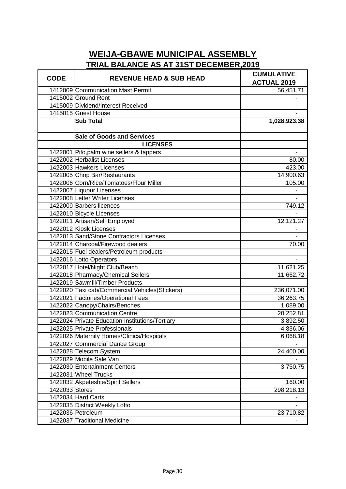| <b>CODE</b>    | <b>REVENUE HEAD &amp; SUB HEAD</b>              | <b>CUMULATIVE</b><br><b>ACTUAL 2019</b> |
|----------------|-------------------------------------------------|-----------------------------------------|
|                | 1412009 Communication Mast Permit               | 56,451.71                               |
|                | 1415002 Ground Rent                             |                                         |
|                | 1415009 Dividend/Interest Received              |                                         |
|                | 1415015 Guest House                             |                                         |
|                | <b>Sub Total</b>                                | 1,028,923.38                            |
|                |                                                 |                                         |
|                | <b>Sale of Goods and Services</b>               |                                         |
|                | <b>LICENSES</b>                                 |                                         |
|                | 1422001 Pito, palm wine sellers & tappers       |                                         |
|                | 1422002 Herbalist Licenses                      | 80.00                                   |
|                | 1422003 Hawkers Licenses                        | 423.00                                  |
|                | 1422005 Chop Bar/Restaurants                    | 14,900.63                               |
|                | 1422006 Corn/Rice/Tomatoes/Flour Miller         | 105.00                                  |
|                | 1422007 Liquour Licenses                        |                                         |
|                | 1422008 Letter Writer Licenses                  |                                         |
|                | 1422009 Barbers licences                        | 749.12                                  |
|                | 1422010 Bicycle Licenses                        |                                         |
|                | 1422011 Artisan/Self Employed                   | 12,121.27                               |
|                | 1422012 Kiosk Licenses                          |                                         |
|                | 1422013 Sand/Stone Contractors Licenses         |                                         |
|                | 1422014 Charcoal/Firewood dealers               | 70.00                                   |
|                | 1422015 Fuel dealers/Petroleum products         |                                         |
|                | 1422016 Lotto Operators                         |                                         |
|                | 1422017 Hotel/Night Club/Beach                  | 11,621.25                               |
|                | 1422018 Pharmacy/Chemical Sellers               | 11,662.72                               |
|                | 1422019 Sawmill/Timber Products                 |                                         |
|                | 1422020 Taxi cab/Commercial Vehicles (Stickers) | 236,071.00                              |
|                | 1422021 Factories/Operational Fees              | 36,263.75                               |
|                | 1422022 Canopy/Chairs/Benches                   | 1,089.00                                |
|                | 1422023 Communication Centre                    | 20,252.81                               |
|                | 1422024 Private Education Institutions/Tertiary | 3,892.50                                |
|                | 1422025 Private Professionals                   | 4,836.06                                |
|                | 1422026 Maternity Homes/Clinics/Hospitals       | 6,068.18                                |
|                | 1422027 Commercial Dance Group                  |                                         |
|                | 1422028 Telecom System                          | 24,400.00                               |
|                | 1422029 Mobile Sale Van                         |                                         |
|                | 1422030 Entertainment Centers                   | 3,750.75                                |
|                | 1422031 Wheel Trucks                            |                                         |
|                | 1422032 Akpeteshie/Spirit Sellers               | 160.00                                  |
| 1422033 Stores |                                                 | 298,218.13                              |
|                | 1422034 Hard Carts                              |                                         |
|                | 1422035 District Weekly Lotto                   |                                         |
|                | 1422036 Petroleum                               | 23,710.82                               |
|                | 1422037 Traditional Medicine                    |                                         |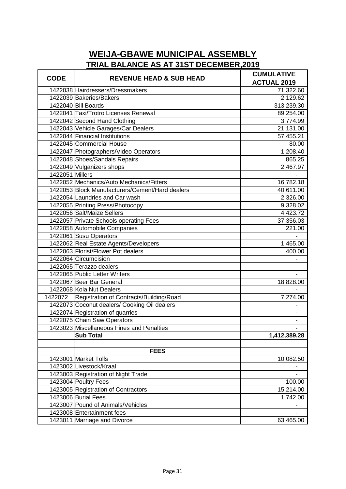| <b>CODE</b>     | <b>REVENUE HEAD &amp; SUB HEAD</b>              | <b>CUMULATIVE</b>   |
|-----------------|-------------------------------------------------|---------------------|
|                 |                                                 | <b>ACTUAL 2019</b>  |
|                 | 1422038 Hairdressers/Dressmakers                | 71,322.60           |
|                 | 1422039 Bakeries/Bakers                         | 2,129.62            |
|                 | 1422040 Bill Boards                             | 313,239.30          |
|                 | 1422041 Taxi/Trotro Licenses Renewal            | 89,254.00           |
|                 | 1422042 Second Hand Clothing                    | 3,774.99            |
|                 | 1422043 Vehicle Garages/Car Dealers             | 21,131.00           |
|                 | 1422044 Financial Institutions                  | 57,455.21           |
|                 | 1422045 Commercial House                        | 80.00               |
|                 | 1422047 Photographers/Video Operators           | 1,208.40            |
|                 | 1422048 Shoes/Sandals Repairs                   | 865.25              |
|                 | 1422049 Vulganizers shops                       | 2,467.97            |
| 1422051 Millers |                                                 |                     |
|                 | 1422052 Mechanics/Auto Mechanics/Fitters        | 16,782.18           |
|                 | 1422053 Block Manufacturers/Cement/Hard dealers | 40,611.00           |
|                 | 1422054 Laundries and Car wash                  | 2,326.00            |
|                 | 1422055 Printing Press/Photocopy                | 9,328.02            |
|                 | 1422056 Salt/Maize Sellers                      | 4,423.72            |
|                 | 1422057 Private Schools operating Fees          | 37,356.03           |
|                 | 1422058 Automobile Companies                    | $\overline{2}21.00$ |
|                 | 1422061 Susu Operators                          |                     |
|                 | 1422062 Real Estate Agents/Developers           | 1,465.00            |
|                 | 1422063 Florist/Flower Pot dealers              | 400.00              |
|                 | 1422064 Circumcision                            |                     |
|                 | 1422065 Terazzo dealers                         |                     |
|                 | 1422065 Public Letter Writers                   |                     |
|                 | 1422067 Beer Bar General                        | 18,828.00           |
|                 | 1422068 Kola Nut Dealers                        |                     |
|                 | 1422072 Registration of Contracts/Building/Road | 7,274.00            |
|                 | 1422073 Coconut dealers/ Cooking Oil dealers    |                     |
|                 | 1422074 Registration of quarries                |                     |
|                 | 1422075 Chain Saw Operators                     |                     |
|                 | 1423023 Miscellaneous Fines and Penalties       |                     |
|                 | <b>Sub Total</b>                                | 1,412,389.28        |
|                 |                                                 |                     |
|                 | <b>FEES</b>                                     |                     |
|                 | 1423001 Market Tolls                            | 10,082.50           |
|                 | 1423002 Livestock/Kraal                         |                     |
|                 | 1423003 Registration of Night Trade             |                     |
|                 | 1423004 Poultry Fees                            | 100.00              |
|                 | 1423005 Registration of Contractors             | 15,214.00           |
|                 | 1423006 Burial Fees                             | 1,742.00            |
|                 | 1423007 Pound of Animals/Vehicles               |                     |
|                 | 1423008 Entertainment fees                      |                     |
|                 | 1423011 Marriage and Divorce                    | 63,465.00           |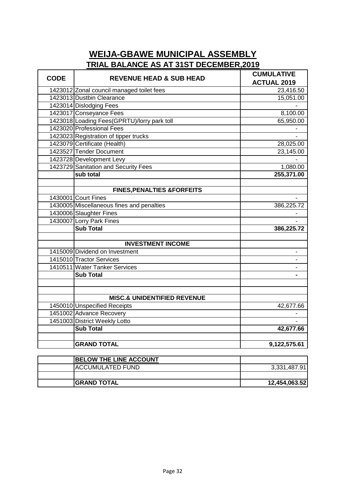| <b>CODE</b> | <b>REVENUE HEAD &amp; SUB HEAD</b>           | <b>CUMULATIVE</b>  |
|-------------|----------------------------------------------|--------------------|
|             |                                              | <b>ACTUAL 2019</b> |
|             | 1423012 Zonal council managed toilet fees    | 23,416.50          |
|             | 1423013 Dustbin Clearance                    | 15,051.00          |
|             | 1423014 Dislodging Fees                      |                    |
|             | 1423017 Conseyance Fees                      | 8,100.00           |
|             | 1423018 Loading Fees (GPRTU)/lorry park toll | 65,950.00          |
|             | 1423020 Professional Fees                    |                    |
|             | 1423023 Registration of tipper trucks        |                    |
|             | 1423079 Certificate (Health)                 | 28,025.00          |
|             | 1423527 Tender Document                      | 23,145.00          |
|             | 1423728 Development Levy                     |                    |
|             | 1423729 Sanitation and Security Fees         | 1,080.00           |
|             | sub total                                    | 255,371.00         |
|             |                                              |                    |
|             | <b>FINES, PENALTIES &amp; FORFEITS</b>       |                    |
|             | 1430001 Court Fines                          |                    |
|             | 1430005 Miscellaneous fines and penalties    | 386,225.72         |
|             | 1430006 Slaughter Fines                      |                    |
|             | 1430007 Lorry Park Fines                     |                    |
|             | <b>Sub Total</b>                             | 386,225.72         |
|             |                                              |                    |
|             | <b>INVESTMENT INCOME</b>                     |                    |
|             | 1415009 Dividend on Investment               |                    |
|             | 1415010 Tractor Services                     |                    |
|             | 1410511 Water Tanker Services                |                    |
|             | <b>Sub Total</b>                             |                    |
|             |                                              |                    |
|             |                                              |                    |
|             | <b>MISC.&amp; UNIDENTIFIED REVENUE</b>       |                    |
|             | 1450010 Unspecified Receipts                 | 42,677.66          |
|             | 1451002 Advance Recovery                     |                    |
|             | 1451003 District Weekly Lotto                |                    |
|             | <b>Sub Total</b>                             | 42,677.66          |
|             |                                              |                    |
|             | <b>GRAND TOTAL</b>                           | 9,122,575.61       |
|             |                                              |                    |

| <b>BELOW THE LINE ACCOUNT</b> |               |
|-------------------------------|---------------|
| <b>ACCUMULATED FUND</b>       | 3,331,487.91  |
|                               |               |
| <b>IGRAND TOTAL</b>           | 12,454,063.52 |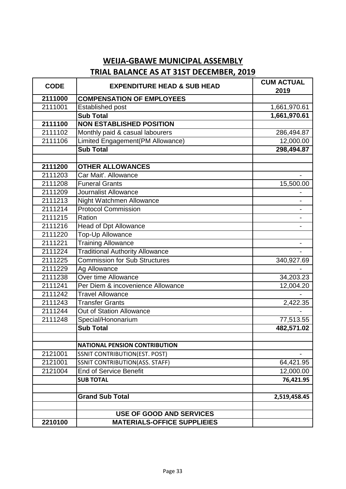| <b>CODE</b> | <b>EXPENDITURE HEAD &amp; SUB HEAD</b> | <b>CUM ACTUAL</b><br>2019 |
|-------------|----------------------------------------|---------------------------|
| 2111000     | <b>COMPENSATION OF EMPLOYEES</b>       |                           |
| 2111001     | Established post                       | 1,661,970.61              |
|             | <b>Sub Total</b>                       | 1,661,970.61              |
| 2111100     | <b>NON ESTABLISHED POSITION</b>        |                           |
| 2111102     | Monthly paid & casual labourers        | 286,494.87                |
| 2111106     | Limited Engagement(PM Allowance)       | 12,000.00                 |
|             | <b>Sub Total</b>                       | 298,494.87                |
|             |                                        |                           |
| 2111200     | <b>OTHER ALLOWANCES</b>                |                           |
| 2111203     | Car Mait'. Allowance                   |                           |
| 2111208     | <b>Funeral Grants</b>                  | 15,500.00                 |
| 2111209     | Journalist Allowance                   |                           |
| 2111213     | Night Watchmen Allowance               |                           |
| 2111214     | <b>Protocol Commission</b>             |                           |
| 2111215     | Ration                                 |                           |
| 2111216     | <b>Head of Dpt Allowance</b>           |                           |
| 2111220     | <b>Top-Up Allowance</b>                |                           |
| 2111221     | <b>Training Allowance</b>              |                           |
| 2111224     | <b>Traditional Authority Allowance</b> |                           |
| 2111225     | <b>Commission for Sub Structures</b>   | 340,927.69                |
| 2111229     | Ag Allowance                           |                           |
| 2111238     | Over time Allowance                    | 34,203.23                 |
| 2111241     | Per Diem & incovenience Allowance      | 12,004.20                 |
| 2111242     | <b>Travel Allowance</b>                |                           |
| 2111243     | <b>Transfer Grants</b>                 | 2,422.35                  |
| 2111244     | Out of Station Allowance               |                           |
| 2111248     | Special/Hononarium                     | 77,513.55                 |
|             | <b>Sub Total</b>                       | 482,571.02                |
|             | <b>NATIONAL PENSION CONTRIBUTION</b>   |                           |
| 2121001     | <b>SSNIT CONTRIBUTION(EST. POST)</b>   |                           |
| 2121001     | SSNIT CONTRIBUTION(ASS. STAFF)         | 64,421.95                 |
| 2121004     | <b>End of Service Benefit</b>          | 12,000.00                 |
|             | <b>SUB TOTAL</b>                       | 76,421.95                 |
|             |                                        |                           |
|             | <b>Grand Sub Total</b>                 | 2,519,458.45              |
|             | <b>USE OF GOOD AND SERVICES</b>        |                           |
| 2210100     | <b>MATERIALS-OFFICE SUPPLIEIES</b>     |                           |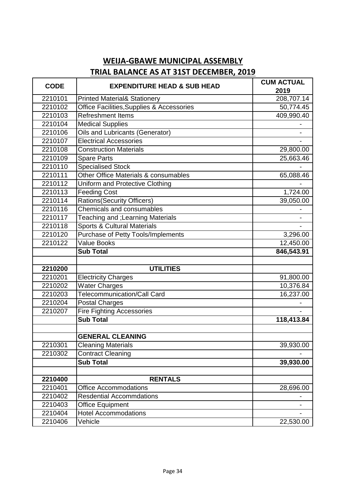| <b>CODE</b> | <b>EXPENDITURE HEAD &amp; SUB HEAD</b>    | <b>CUM ACTUAL</b> |
|-------------|-------------------------------------------|-------------------|
|             |                                           | 2019              |
| 2210101     | <b>Printed Material&amp; Stationery</b>   | 208,707.14        |
| 2210102     | Office Facilities, Supplies & Accessories | 50,774.45         |
| 2210103     | <b>Refreshment Items</b>                  | 409,990.40        |
| 2210104     | <b>Medical Supplies</b>                   |                   |
| 2210106     | <b>Oils and Lubricants (Generator)</b>    |                   |
| 2210107     | <b>Electrical Accessories</b>             |                   |
| 2210108     | <b>Construction Materials</b>             | 29,800.00         |
| 2210109     | <b>Spare Parts</b>                        | 25,663.46         |
| 2210110     | <b>Specialised Stock</b>                  |                   |
| 2210111     | Other Office Materials & consumables      | 65,088.46         |
| 2210112     | <b>Uniform and Protective Clothing</b>    |                   |
| 2210113     | <b>Feeding Cost</b>                       | 1,724.00          |
| 2210114     | <b>Rations(Security Officers)</b>         | 39,050.00         |
| 2210116     | Chemicals and consumables                 |                   |
| 2210117     | Teaching and ; Learning Materials         |                   |
| 2210118     | <b>Sports &amp; Cultural Materials</b>    |                   |
| 2210120     | Purchase of Petty Tools/Implements        | 3,296.00          |
| 2210122     | <b>Value Books</b>                        | 12,450.00         |
|             | <b>Sub Total</b>                          | 846,543.91        |
|             |                                           |                   |
| 2210200     | <b>UTILITIES</b>                          |                   |
| 2210201     | <b>Electricity Charges</b>                | 91,800.00         |
| 2210202     | <b>Water Charges</b>                      | 10,376.84         |
| 2210203     | Telecommunication/Call Card               | 16,237.00         |
| 2210204     | <b>Postal Charges</b>                     |                   |
| 2210207     | <b>Fire Fighting Accessories</b>          |                   |
|             | <b>Sub Total</b>                          | 118,413.84        |
|             |                                           |                   |
|             | <b>GENERAL CLEANING</b>                   |                   |
| 2210301     | <b>Cleaning Materials</b>                 | 39,930.00         |
| 2210302     | <b>Contract Cleaning</b>                  |                   |
|             | <b>Sub Total</b>                          | 39,930.00         |
|             |                                           |                   |
| 2210400     | <b>RENTALS</b>                            |                   |
| 2210401     | <b>Office Accommodations</b>              | 28,696.00         |
| 2210402     | <b>Resdential Accommdations</b>           |                   |
| 2210403     | <b>Office Equipment</b>                   |                   |
| 2210404     | <b>Hotel Accommodations</b>               |                   |
| 2210406     | Vehicle                                   | 22,530.00         |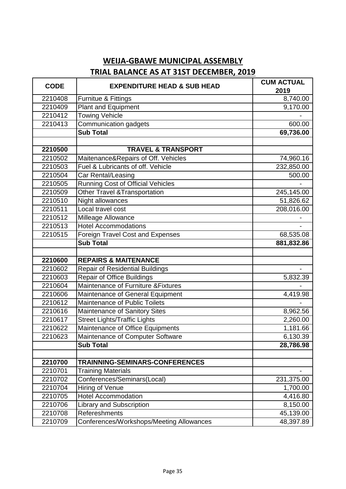| <b>CODE</b> | <b>EXPENDITURE HEAD &amp; SUB HEAD</b>   | <b>CUM ACTUAL</b> |
|-------------|------------------------------------------|-------------------|
|             |                                          | 2019              |
| 2210408     | Furnitue & Fittings                      | 8,740.00          |
| 2210409     | <b>Plant and Equipment</b>               | 9,170.00          |
| 2210412     | <b>Towing Vehicle</b>                    |                   |
| 2210413     | Communication gadgets                    | 600.00            |
|             | <b>Sub Total</b>                         | 69,736.00         |
|             |                                          |                   |
| 2210500     | <b>TRAVEL &amp; TRANSPORT</b>            |                   |
| 2210502     | Maitenance&Repairs of Off. Vehicles      | 74,960.16         |
| 2210503     | Fuel & Lubricants of off. Vehicle        | 232,850.00        |
| 2210504     | Car Rental/Leasing                       | 500.00            |
| 2210505     | <b>Running Cost of Official Vehicles</b> |                   |
| 2210509     | <b>Other Travel &amp; Transportation</b> | 245,145.00        |
| 2210510     | Night allowances                         | 51,826.62         |
| 2210511     | Local travel cost                        | 208,016.00        |
| 2210512     | Milleage Allowance                       |                   |
| 2210513     | <b>Hotel Accommodations</b>              |                   |
| 2210515     | Foreign Travel Cost and Expenses         | 68,535.08         |
|             | <b>Sub Total</b>                         | 881,832.86        |
|             |                                          |                   |
| 2210600     | <b>REPAIRS &amp; MAITENANCE</b>          |                   |
| 2210602     | <b>Repair of Residential Buildings</b>   |                   |
| 2210603     | <b>Repair of Office Buildings</b>        | 5,832.39          |
| 2210604     | Maintenance of Furniture & Fixtures      |                   |
| 2210606     | Maintenance of General Equipment         | 4,419.98          |
| 2210612     | Maintenance of Public Toilets            |                   |
| 2210616     | Maintenance of Sanitory Sites            | 8,962.56          |
| 2210617     | <b>Street Lights/Traffic Lights</b>      | 2,260.00          |
| 2210622     | Maintenance of Office Equipments         | 1,181.66          |
| 2210623     | Maintenance of Computer Software         | 6,130.39          |
|             | <b>Sub Total</b>                         | 28,786.98         |
|             |                                          |                   |
| 2210700     | TRAINNING-SEMINARS-CONFERENCES           |                   |
| 2210701     | <b>Training Materials</b>                |                   |
| 2210702     | Conferences/Seminars(Local)              | 231,375.00        |
| 2210704     | Hiring of Venue                          | 1,700.00          |
| 2210705     | <b>Hotel Accommodation</b>               | 4,416.80          |
| 2210706     | Library and Subscription                 | 8,150.00          |
| 2210708     | Refereshments                            | 45,139.00         |
| 2210709     | Conferences/Workshops/Meeting Allowances | 48,397.89         |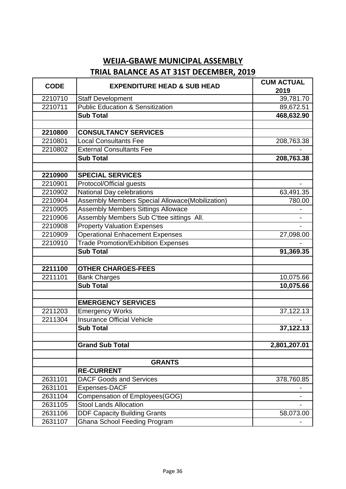| <b>CODE</b> | <b>EXPENDITURE HEAD &amp; SUB HEAD</b>          | <b>CUM ACTUAL</b> |
|-------------|-------------------------------------------------|-------------------|
|             |                                                 | 2019              |
| 2210710     | <b>Staff Development</b>                        | 39,781.70         |
| 2210711     | <b>Public Education &amp; Sensitization</b>     | 89,672.51         |
|             | <b>Sub Total</b>                                | 468,632.90        |
|             |                                                 |                   |
| 2210800     | <b>CONSULTANCY SERVICES</b>                     |                   |
| 2210801     | <b>Local Consultants Fee</b>                    | 208,763.38        |
| 2210802     | <b>External Consultants Fee</b>                 |                   |
|             | <b>Sub Total</b>                                | 208,763.38        |
|             |                                                 |                   |
| 2210900     | <b>SPECIAL SERVICES</b>                         |                   |
| 2210901     | Protocol/Official guests                        |                   |
| 2210902     | National Day celebrations                       | 63,491.35         |
| 2210904     | Assembly Members Special Allowace(Mobilization) | 780.00            |
| 2210905     | <b>Assembly Members Sittings Allowace</b>       |                   |
| 2210906     | Assembly Members Sub C'ttee sittings All.       |                   |
| 2210908     | <b>Property Valuation Expenses</b>              |                   |
| 2210909     | <b>Operational Enhacement Expenses</b>          | 27,098.00         |
| 2210910     | <b>Trade Promotion/Exhibition Expenses</b>      |                   |
|             | <b>Sub Total</b>                                | 91,369.35         |
|             |                                                 |                   |
| 2211100     | <b>OTHER CHARGES-FEES</b>                       |                   |
| 2211101     | <b>Bank Charges</b>                             | 10,075.66         |
|             | <b>Sub Total</b>                                | 10,075.66         |
|             |                                                 |                   |
|             | <b>EMERGENCY SERVICES</b>                       |                   |
| 2211203     | <b>Emergency Works</b>                          | 37,122.13         |
| 2211304     | <b>Insurance Official Vehicle</b>               |                   |
|             | <b>Sub Total</b>                                | 37,122.13         |
|             |                                                 |                   |
|             | <b>Grand Sub Total</b>                          | 2,801,207.01      |
|             |                                                 |                   |
|             | <b>GRANTS</b>                                   |                   |
|             | <b>RE-CURRENT</b>                               |                   |
| 2631101     | <b>DACF Goods and Services</b>                  | 378,760.85        |
| 2631101     | Expenses-DACF                                   |                   |
| 2631104     | Compensation of Employees(GOG)                  |                   |
| 2631105     | <b>Stool Lands Allocation</b>                   |                   |
| 2631106     | <b>DDF Capacity Building Grants</b>             | 58,073.00         |
| 2631107     | <b>Ghana School Feeding Program</b>             |                   |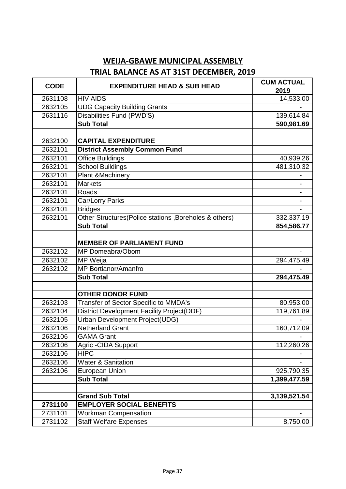| <b>CODE</b> | <b>EXPENDITURE HEAD &amp; SUB HEAD</b>                | <b>CUM ACTUAL</b><br>2019 |
|-------------|-------------------------------------------------------|---------------------------|
| 2631108     | <b>HIV AIDS</b>                                       | 14,533.00                 |
| 2632105     | <b>UDG Capacity Building Grants</b>                   |                           |
| 2631116     | <b>Disabilities Fund (PWD'S)</b>                      | 139,614.84                |
|             | <b>Sub Total</b>                                      | 590,981.69                |
|             |                                                       |                           |
| 2632100     | <b>CAPITAL EXPENDITURE</b>                            |                           |
| 2632101     | <b>District Assembly Common Fund</b>                  |                           |
| 2632101     | <b>Office Buildings</b>                               | 40,939.26                 |
| 2632101     | <b>School Buildings</b>                               | 481,310.32                |
| 2632101     | Plant & Machinery                                     |                           |
| 2632101     | <b>Markets</b>                                        |                           |
| 2632101     | Roads                                                 |                           |
| 2632101     | Car/Lorry Parks                                       |                           |
| 2632101     | <b>Bridges</b>                                        |                           |
| 2632101     | Other Structures(Police stations, Boreholes & others) | 332,337.19                |
|             | <b>Sub Total</b>                                      | 854,586.77                |
|             |                                                       |                           |
|             | <b>MEMBER OF PARLIAMENT FUND</b>                      |                           |
| 2632102     | MP Domeabra/Obom                                      |                           |
| 2632102     | MP Weija                                              | 294,475.49                |
| 2632102     | MP Bortianor/Amanfro                                  |                           |
|             | <b>Sub Total</b>                                      | 294,475.49                |
|             |                                                       |                           |
|             | <b>OTHER DONOR FUND</b>                               |                           |
| 2632103     | Transfer of Sector Specific to MMDA's                 | 80,953.00                 |
| 2632104     | <b>District Development Facility Project(DDF)</b>     | 119,761.89                |
| 2632105     | <b>Urban Development Project(UDG)</b>                 |                           |
| 2632106     | <b>Netherland Grant</b>                               | 160,712.09                |
| 2632106     | <b>GAMA Grant</b>                                     |                           |
| 2632106     | <b>Agric-CIDA Support</b>                             | 112,260.26                |
| 2632106     | <b>HIPC</b>                                           |                           |
| 2632106     | <b>Water &amp; Sanitation</b>                         |                           |
| 2632106     | <b>European Union</b>                                 | 925,790.35                |
|             | <b>Sub Total</b>                                      | 1,399,477.59              |
|             |                                                       |                           |
|             | <b>Grand Sub Total</b>                                | 3,139,521.54              |
| 2731100     | <b>EMPLOYER SOCIAL BENEFITS</b>                       |                           |
| 2731101     | <b>Workman Compensation</b>                           |                           |
| 2731102     | <b>Staff Welfare Expenses</b>                         | 8,750.00                  |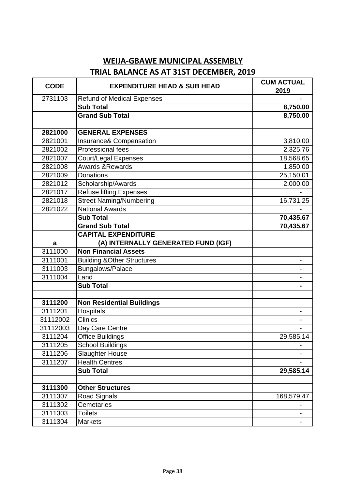| <b>CODE</b> | <b>EXPENDITURE HEAD &amp; SUB HEAD</b> | <b>CUM ACTUAL</b><br>2019 |
|-------------|----------------------------------------|---------------------------|
| 2731103     | <b>Refund of Medical Expenses</b>      |                           |
|             | <b>Sub Total</b>                       | 8,750.00                  |
|             | <b>Grand Sub Total</b>                 | 8,750.00                  |
|             |                                        |                           |
| 2821000     | <b>GENERAL EXPENSES</b>                |                           |
| 2821001     | Insurance& Compensation                | 3,810.00                  |
| 2821002     | <b>Professional fees</b>               | 2,325.76                  |
| 2821007     | Court/Legal Expenses                   | 18,568.65                 |
| 2821008     | Awards & Rewards                       | 1,850.00                  |
| 2821009     | Donations                              | 25,150.01                 |
| 2821012     | Scholarship/Awards                     | 2,000.00                  |
| 2821017     | <b>Refuse lifting Expenses</b>         |                           |
| 2821018     | <b>Street Naming/Numbering</b>         | 16,731.25                 |
| 2821022     | <b>National Awards</b>                 |                           |
|             | <b>Sub Total</b>                       | 70,435.67                 |
|             | <b>Grand Sub Total</b>                 | 70,435.67                 |
|             | <b>CAPITAL EXPENDITURE</b>             |                           |
| a           | (A) INTERNALLY GENERATED FUND (IGF)    |                           |
| 3111000     | <b>Non Financial Assets</b>            |                           |
| 3111001     | <b>Building &amp; Other Structures</b> | $\frac{1}{2}$             |
| 3111003     | Bungalows/Palace                       |                           |
| 3111004     | Land                                   |                           |
|             | <b>Sub Total</b>                       |                           |
|             |                                        |                           |
| 3111200     | <b>Non Residential Buildings</b>       |                           |
| 3111201     | Hospitals                              |                           |
| 31112002    | <b>Clinics</b>                         |                           |
| 31112003    | Day Care Centre                        |                           |
| 3111204     | Office Buildings                       | 29,585.14                 |
| 3111205     | <b>School Buildings</b>                |                           |
| 3111206     | <b>Slaughter House</b>                 |                           |
| 3111207     | <b>Health Centres</b>                  |                           |
|             | <b>Sub Total</b>                       | 29,585.14                 |
|             |                                        |                           |
| 3111300     | <b>Other Structures</b>                |                           |
| 3111307     | <b>Road Signals</b>                    | 168,579.47                |
| 3111302     | Cemetaries                             |                           |
| 3111303     | <b>Toilets</b>                         |                           |
| 3111304     | <b>Markets</b>                         |                           |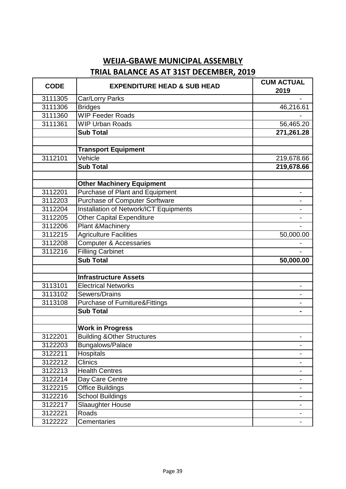| <b>CODE</b> | <b>EXPENDITURE HEAD &amp; SUB HEAD</b>    | <b>CUM ACTUAL</b><br>2019 |
|-------------|-------------------------------------------|---------------------------|
| 3111305     | Car/Lorry Parks                           |                           |
| 3111306     | <b>Bridges</b>                            | 46,216.61                 |
| 3111360     | <b>WIP Feeder Roads</b>                   |                           |
| 3111361     | <b>WIP Urban Roads</b>                    | 56,465.20                 |
|             | <b>Sub Total</b>                          | 271,261.28                |
|             |                                           |                           |
|             | <b>Transport Equipment</b>                |                           |
| 3112101     | Vehicle                                   | 219,678.66                |
|             | <b>Sub Total</b>                          | 219,678.66                |
|             |                                           |                           |
|             | <b>Other Machinery Equipment</b>          |                           |
| 3112201     | Purchase of Plant and Equipment           |                           |
| 3112203     | <b>Purchase of Computer Sorftware</b>     |                           |
| 3112204     | Installation of Network/ICT Equipments    |                           |
| 3112205     | <b>Other Capital Expenditure</b>          |                           |
| 3112206     | <b>Plant &amp;Machinery</b>               |                           |
| 3112215     | <b>Agriculture Facilities</b>             | 50,000.00                 |
| 3112208     | Computer & Accessaries                    |                           |
| 3112216     | <b>Filliing Carbinet</b>                  |                           |
|             | <b>Sub Total</b>                          | 50,000.00                 |
|             | <b>Infrastructure Assets</b>              |                           |
| 3113101     | <b>Electrical Networks</b>                |                           |
| 3113102     | Sewers/Drains                             |                           |
| 3113108     | <b>Purchase of Furniture&amp;Fittings</b> |                           |
|             | <b>Sub Total</b>                          |                           |
|             |                                           |                           |
|             | <b>Work in Progress</b>                   |                           |
| 3122201     | <b>Building &amp; Other Structures</b>    |                           |
| 3122203     | Bungalows/Palace                          |                           |
| 3122211     | Hospitals                                 |                           |
| 3122212     | <b>Clinics</b>                            |                           |
| 3122213     | <b>Health Centres</b>                     |                           |
| 3122214     | Day Care Centre                           |                           |
| 3122215     | <b>Office Buildings</b>                   |                           |
| 3122216     | <b>School Buildings</b>                   |                           |
| 3122217     | Slaaughter House                          |                           |
| 3122221     | Roads                                     |                           |
| 3122222     | Cementaries                               |                           |